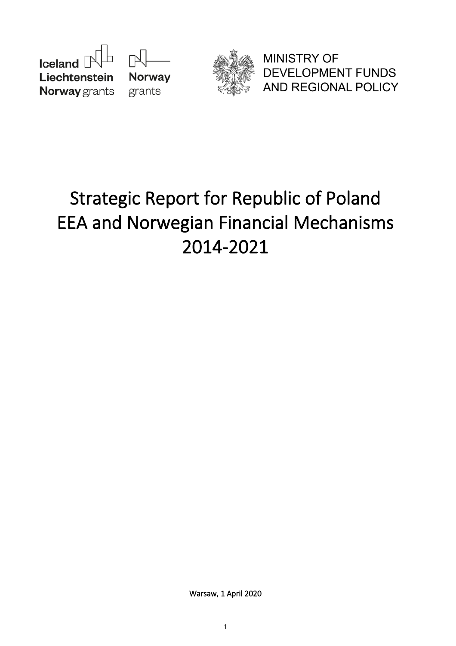



**MINISTRY OF DEVELOPMENT FUNDS** AND REGIONAL POLICY

# **Strategic Report for Republic of Poland EEA and Norwegian Financial Mechanisms 2014-2021**

**Warsaw, 1 April 2020**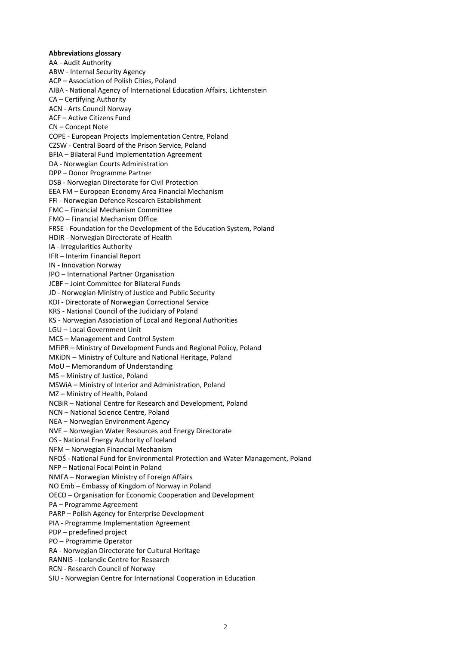**Abbreviations glossary** AA - Audit Authority ABW - Internal Security Agency ACP – Association of Polish Cities, Poland AIBA - National Agency of International Education Affairs, Lichtenstein CA – Certifying Authority ACN - Arts Council Norway ACF – Active Citizens Fund CN – Concept Note COPE - European Projects Implementation Centre, Poland CZSW - Central Board of the Prison Service, Poland BFIA – Bilateral Fund Implementation Agreement DA - Norwegian Courts Administration DPP – Donor Programme Partner DSB - Norwegian Directorate for Civil Protection EEA FM – European Economy Area Financial Mechanism FFI - Norwegian Defence Research Establishment FMC – Financial Mechanism Committee FMO – Financial Mechanism Office FRSE - Foundation for the Development of the Education System, Poland HDIR - Norwegian Directorate of Health IA - Irregularities Authority IFR – Interim Financial Report IN - Innovation Norway IPO – International Partner Organisation JCBF – Joint Committee for Bilateral Funds JD - Norwegian Ministry of Justice and Public Security KDI - Directorate of Norwegian Correctional Service KRS - National Council of the Judiciary of Poland KS - Norwegian Association of Local and Regional Authorities LGU – Local Government Unit MCS – Management and Control System MFiPR – Ministry of Development Funds and Regional Policy, Poland MKiDN – Ministry of Culture and National Heritage, Poland MoU – Memorandum of Understanding MS – Ministry of Justice, Poland MSWiA – Ministry of Interior and Administration, Poland MZ – Ministry of Health, Poland NCBiR – National Centre for Research and Development, Poland NCN – National Science Centre, Poland NEA – Norwegian Environment Agency NVE – Norwegian Water Resources and Energy Directorate OS - National Energy Authority of Iceland NFM – Norwegian Financial Mechanism NFOŚ - National Fund for Environmental Protection and Water Management, Poland NFP – National Focal Point in Poland NMFA – Norwegian Ministry of Foreign Affairs NO Emb – Embassy of Kingdom of Norway in Poland OECD – Organisation for Economic Cooperation and Development PA – Programme Agreement PARP – Polish Agency for Enterprise Development PIA - Programme Implementation Agreement PDP – predefined project PO – Programme Operator RA - Norwegian Directorate for Cultural Heritage RANNIS - Icelandic Centre for Research RCN - Research Council of Norway SIU - Norwegian Centre for International Cooperation in Education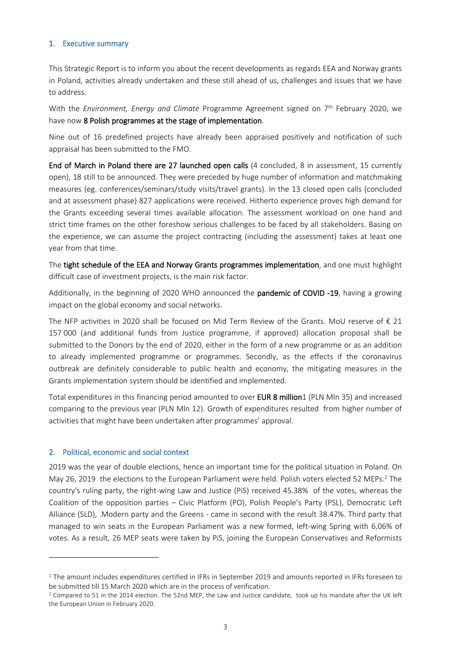#### **1. Executive summary**

This Strategic Report is to inform you about the recent developments as regards EEA and Norway grants in Poland, activities already undertaken and these still ahead of us, challenges and issues that we have to address.

With the *Environment, Energy and Climate* Programme Agreement signed on 7 th February 2020, we have now **8 Polish programmes at the stage of implementation**.

Nine out of 16 predefined projects have already been appraised positively and notification of such appraisal has been submitted to the FMO.

**End of March in Poland there are 27 launched open calls** (4 concluded, 8 in assessment, 15 currently open), 18 still to be announced. They were preceded by huge number of information and matchmaking measures (eg. conferences/seminars/study visits/travel grants). In the 13 closed open calls (concluded and at assessment phase) 827 applications were received. Hitherto experience proves high demand for the Grants exceeding several times available allocation. The assessment workload on one hand and strict time frames on the other foreshow serious challenges to be faced by all stakeholders. Basing on the experience, we can assume the project contracting (including the assessment) takes at least one year from that time.

The **tight schedule of the EEA and Norway Grants programmes implementation**, and one must highlight difficult case of investment projects, is the main risk factor.

Additionally, in the beginning of 2020 WHO announced the **pandemic of COVID -19**, having a growing impact on the global economy and social networks.

The NFP activities in 2020 shall be focused on Mid Term Review of the Grants. MoU reserve of  $\epsilon$  21 157 000 (and additional funds from Justice programme, if approved) allocation proposal shall be submitted to the Donors by the end of 2020, either in the form of a new programme or as an addition to already implemented programme or programmes. Secondly, as the effects if the coronavirus outbreak are definitely considerable to public health and economy, the mitigating measures in the Grants implementation system should be identified and implemented.

Total expenditures in this financing period amounted to over **EUR 8 million**1 (PLN Mln 35) and increased comparing to the previous year (PLN Mln 12). Growth of expenditures resulted from higher number of activities that might have been undertaken after programmes' approval.

## **2. Political, economic and social context**

2019 was the year of double elections, hence an important time for the political situation in Poland. On May 26, 2019 the elections to the European Parliament were held. Polish voters elected 52 MEPs.<sup>2</sup> The country's ruling party, the right-wing Law and Justice (PiS) received 45.38% of the votes, whereas the Coalition of the opposition parties – Civic Platform (PO), Polish People's Party (PSL), Democratic Left Alliance (SLD), .Modern party and the Greens - came in second with the result 38.47%. Third party that managed to win seats in the European Parliament was a new formed, left-wing Spring with 6,06% of votes. As a result, 26 MEP seats were taken by PiS, joining the European Conservatives and Reformists

 $1$  The amount includes expenditures certified in IFRs in September 2019 and amounts reported in IFRs foreseen to be submitted till 15 March 2020 which are in the process of verification.

 $2$  Compared to 51 in the 2014 election. The 52nd MEP, the Law and Justice candidate, took up his mandate after the UK left the European Union in February 2020.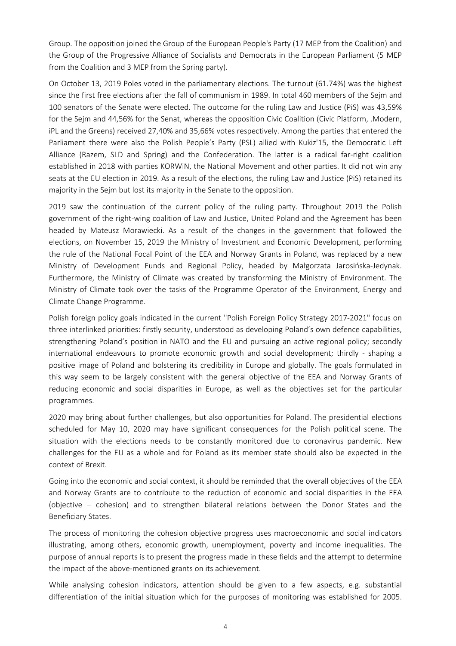Group. The opposition joined the Group of the European People's Party (17 MEP from the Coalition) and the Group of the Progressive Alliance of Socialists and Democrats in the European Parliament (5 MEP from the Coalition and 3 MEP from the Spring party).

On October 13, 2019 Poles voted in the parliamentary elections. The turnout (61.74%) was the highest since the first free elections after the fall of communism in 1989. In total 460 members of the Sejm and 100 senators of the Senate were elected. The outcome for the ruling Law and Justice (PiS) was 43,59% for the Sejm and 44,56% for the Senat, whereas the opposition Civic Coalition (Civic Platform, .Modern, iPL and the Greens) received 27,40% and 35,66% votes respectively. Among the parties that entered the Parliament there were also the Polish People's Party (PSL) allied with Kukiz'15, the Democratic Left Alliance (Razem, SLD and Spring) and the Confederation. The latter is a radical far-right coalition established in 2018 with parties KORWiN, the National Movement and other parties. It did not win any seats at the EU election in 2019. As a result of the elections, the ruling Law and Justice (PiS) retained its majority in the Sejm but lost its majority in the Senate to the opposition.

2019 saw the continuation of the current policy of the ruling party. Throughout 2019 the Polish government of the right-wing coalition of Law and Justice, United Poland and the Agreement has been headed by Mateusz Morawiecki. As a result of the changes in the government that followed the elections, on November 15, 2019 the Ministry of Investment and Economic Development, performing the rule of the National Focal Point of the EEA and Norway Grants in Poland, was replaced by a new Ministry of Development Funds and Regional Policy, headed by Małgorzata Jarosińska-Jedynak. Furthermore, the Ministry of Climate was created by transforming the Ministry of Environment. The Ministry of Climate took over the tasks of the Programme Operator of the Environment, Energy and Climate Change Programme.

Polish foreign policy goals indicated in the current "Polish Foreign Policy Strategy 2017-2021" focus on three interlinked priorities: firstly security, understood as developing Poland's own defence capabilities, strengthening Poland's position in NATO and the EU and pursuing an active regional policy; secondly international endeavours to promote economic growth and social development; thirdly - shaping a positive image of Poland and bolstering its credibility in Europe and globally. The goals formulated in this way seem to be largely consistent with the general objective of the EEA and Norway Grants of reducing economic and social disparities in Europe, as well as the objectives set for the particular programmes.

2020 may bring about further challenges, but also opportunities for Poland. The presidential elections scheduled for May 10, 2020 may have significant consequences for the Polish political scene. The situation with the elections needs to be constantly monitored due to coronavirus pandemic. New challenges for the EU as a whole and for Poland as its member state should also be expected in the context of Brexit.

Going into the economic and social context, it should be reminded that the overall objectives of the EEA and Norway Grants are to contribute to the reduction of economic and social disparities in the EEA (objective – cohesion) and to strengthen bilateral relations between the Donor States and the Beneficiary States.

The process of monitoring the cohesion objective progress uses macroeconomic and social indicators illustrating, among others, economic growth, unemployment, poverty and income inequalities. The purpose of annual reports is to present the progress made in these fields and the attempt to determine the impact of the above-mentioned grants on its achievement.

While analysing cohesion indicators, attention should be given to a few aspects, e.g. substantial differentiation of the initial situation which for the purposes of monitoring was established for 2005.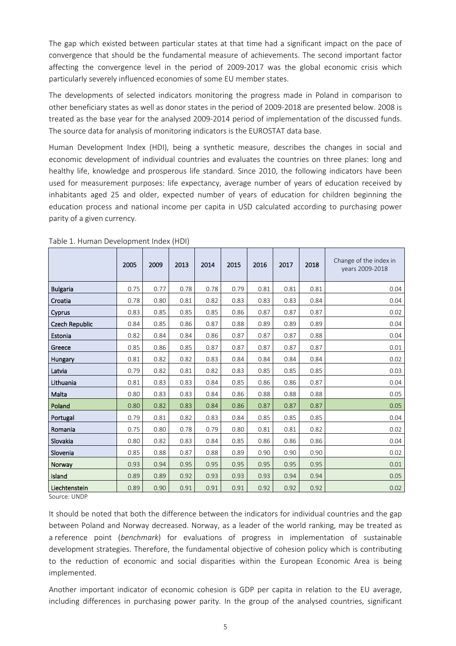The gap which existed between particular states at that time had a significant impact on the pace of convergence that should be the fundamental measure of achievements. The second important factor affecting the convergence level in the period of 2009-2017 was the global economic crisis which particularly severely influenced economies of some EU member states.

The developments of selected indicators monitoring the progress made in Poland in comparison to other beneficiary states as well as donor states in the period of 2009-2018 are presented below. 2008 is treated as the base year for the analysed 2009-2014 period of implementation of the discussed funds. The source data for analysis of monitoring indicators is the EUROSTAT data base.

Human Development Index (HDI), being a synthetic measure, describes the changes in social and economic development of individual countries and evaluates the countries on three planes: long and healthy life, knowledge and prosperous life standard. Since 2010, the following indicators have been used for measurement purposes: life expectancy, average number of years of education received by inhabitants aged 25 and older, expected number of years of education for children beginning the education process and national income per capita in USD calculated according to purchasing power parity of a given currency.

|                 | 2005 | 2009 | 2013 | 2014 | 2015 | 2016 | 2017 | 2018 | Change of the index in<br>vears 2009-2018 |
|-----------------|------|------|------|------|------|------|------|------|-------------------------------------------|
| <b>Bulgaria</b> | 0.75 | 0.77 | 0.78 | 0.78 | 0.79 | 0.81 | 0.81 | 0.81 | 0.04                                      |
| Croatia         | 0.78 | 0.80 | 0.81 | 0.82 | 0.83 | 0.83 | 0.83 | 0.84 | 0.04                                      |
| Cyprus          | 0.83 | 0.85 | 0.85 | 0.85 | 0.86 | 0.87 | 0.87 | 0.87 | 0.02                                      |
| Czech Republic  | 0.84 | 0.85 | 0.86 | 0.87 | 0.88 | 0.89 | 0.89 | 0.89 | 0.04                                      |
| Estonia         | 0.82 | 0.84 | 0.84 | 0.86 | 0.87 | 0.87 | 0.87 | 0.88 | 0.04                                      |
| Greece          | 0.85 | 0.86 | 0.85 | 0.87 | 0.87 | 0.87 | 0.87 | 0.87 | 0.01                                      |
| Hungary         | 0.81 | 0.82 | 0.82 | 0.83 | 0.84 | 0.84 | 0.84 | 0.84 | 0.02                                      |
| Latvia          | 0.79 | 0.82 | 0.81 | 0.82 | 0.83 | 0.85 | 0.85 | 0.85 | 0.03                                      |
| Lithuania       | 0.81 | 0.83 | 0.83 | 0.84 | 0.85 | 0.86 | 0.86 | 0.87 | 0.04                                      |
| Malta           | 0.80 | 0.83 | 0.83 | 0.84 | 0.86 | 0.88 | 0.88 | 0.88 | 0.05                                      |
| Poland          | 0.80 | 0.82 | 0.83 | 0.84 | 0.86 | 0.87 | 0.87 | 0.87 | 0.05                                      |
| Portugal        | 0.79 | 0.81 | 0.82 | 0.83 | 0.84 | 0.85 | 0.85 | 0.85 | 0.04                                      |
| Romania         | 0.75 | 0.80 | 0.78 | 0.79 | 0.80 | 0.81 | 0.81 | 0.82 | 0.02                                      |
| Slovakia        | 0.80 | 0.82 | 0.83 | 0.84 | 0.85 | 0.86 | 0.86 | 0.86 | 0.04                                      |
| Slovenia        | 0.85 | 0.88 | 0.87 | 0.88 | 0.89 | 0.90 | 0.90 | 0.90 | 0.02                                      |
| Norway          | 0.93 | 0.94 | 0.95 | 0.95 | 0.95 | 0.95 | 0.95 | 0.95 | 0.01                                      |
| Island          | 0.89 | 0.89 | 0.92 | 0.93 | 0.93 | 0.93 | 0.94 | 0.94 | 0.05                                      |
| Liechtenstein   | 0.89 | 0.90 | 0.91 | 0.91 | 0.91 | 0.92 | 0.92 | 0.92 | 0.02                                      |

Table 1. Human Development Index (HDI)

Source: UNDP

It should be noted that both the difference between the indicators for individual countries and the gap between Poland and Norway decreased. Norway, as a leader of the world ranking, may be treated as a reference point (*benchmark*) for evaluations of progress in implementation of sustainable development strategies. Therefore, the fundamental objective of cohesion policy which is contributing to the reduction of economic and social disparities within the European Economic Area is being implemented.

Another important indicator of economic cohesion is GDP per capita in relation to the EU average, including differences in purchasing power parity. In the group of the analysed countries, significant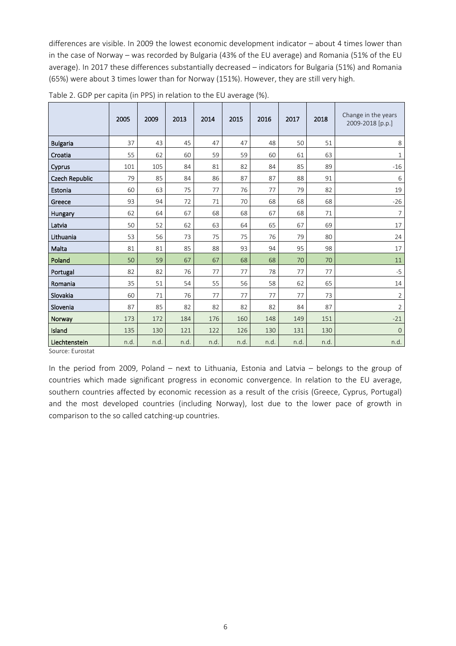differences are visible. In 2009 the lowest economic development indicator – about 4 times lower than in the case of Norway – was recorded by Bulgaria (43% of the EU average) and Romania (51% of the EU average). In 2017 these differences substantially decreased – indicators for Bulgaria (51%) and Romania (65%) were about 3 times lower than for Norway (151%). However, they are still very high.

|                       | 2005 | 2009 | 2013 | 2014 | 2015 | 2016 | 2017 | 2018 | Change in the years<br>2009-2018 [p.p.] |
|-----------------------|------|------|------|------|------|------|------|------|-----------------------------------------|
| <b>Bulgaria</b>       | 37   | 43   | 45   | 47   | 47   | 48   | 50   | 51   | 8                                       |
| Croatia               | 55   | 62   | 60   | 59   | 59   | 60   | 61   | 63   | $\mathbf{1}$                            |
| Cyprus                | 101  | 105  | 84   | 81   | 82   | 84   | 85   | 89   | $-16$                                   |
| <b>Czech Republic</b> | 79   | 85   | 84   | 86   | 87   | 87   | 88   | 91   | 6                                       |
| Estonia               | 60   | 63   | 75   | 77   | 76   | 77   | 79   | 82   | 19                                      |
| Greece                | 93   | 94   | 72   | 71   | 70   | 68   | 68   | 68   | $-26$                                   |
| Hungary               | 62   | 64   | 67   | 68   | 68   | 67   | 68   | 71   | 7                                       |
| Latvia                | 50   | 52   | 62   | 63   | 64   | 65   | 67   | 69   | 17                                      |
| Lithuania             | 53   | 56   | 73   | 75   | 75   | 76   | 79   | 80   | 24                                      |
| Malta                 | 81   | 81   | 85   | 88   | 93   | 94   | 95   | 98   | 17                                      |
| Poland                | 50   | 59   | 67   | 67   | 68   | 68   | 70   | 70   | 11                                      |
| Portugal              | 82   | 82   | 76   | 77   | 77   | 78   | 77   | 77   | $-5$                                    |
| Romania               | 35   | 51   | 54   | 55   | 56   | 58   | 62   | 65   | 14                                      |
| Slovakia              | 60   | 71   | 76   | 77   | 77   | 77   | 77   | 73   | $\overline{2}$                          |
| Slovenia              | 87   | 85   | 82   | 82   | 82   | 82   | 84   | 87   | $\overline{2}$                          |
| Norway                | 173  | 172  | 184  | 176  | 160  | 148  | 149  | 151  | $-21$                                   |
| Island                | 135  | 130  | 121  | 122  | 126  | 130  | 131  | 130  | $\mathbf{0}$                            |
| Liechtenstein         | n.d. | n.d. | n.d. | n.d. | n.d. | n.d. | n.d. | n.d. | n.d.                                    |

Table 2. GDP per capita (in PPS) in relation to the EU average (%).

Source: Eurostat

In the period from 2009, Poland – next to Lithuania, Estonia and Latvia – belongs to the group of countries which made significant progress in economic convergence. In relation to the EU average, southern countries affected by economic recession as a result of the crisis (Greece, Cyprus, Portugal) and the most developed countries (including Norway), lost due to the lower pace of growth in comparison to the so called catching-up countries.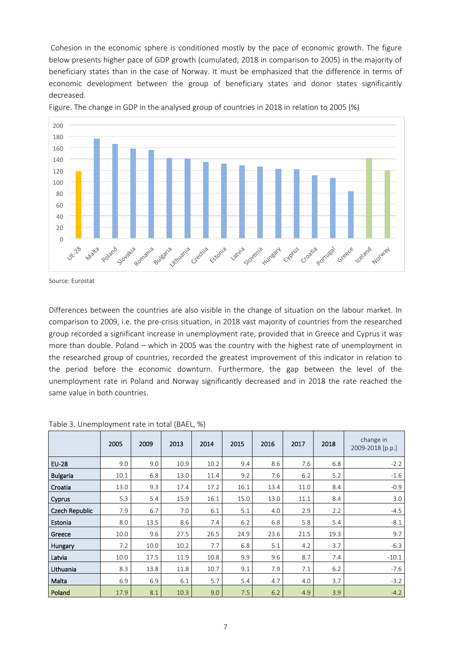Cohesion in the economic sphere is conditioned mostly by the pace of economic growth. The figure below presents higher pace of GDP growth (cumulated, 2018 in comparison to 2005) in the majority of beneficiary states than in the case of Norway. It must be emphasized that the difference in terms of economic development between the group of beneficiary states and donor states significantly decreased.



Figure. The change in GDP in the analysed group of countries in 2018 in relation to 2005 (%)

Differences between the countries are also visible in the change of situation on the labour market. In comparison to 2009, i.e. the pre-crisis situation, in 2018 vast majority of countries from the researched group recorded a significant increase in unemployment rate, provided that in Greece and Cyprus it was more than double. Poland – which in 2005 was the country with the highest rate of unemployment in the researched group of countries, recorded the greatest improvement of this indicator in relation to the period before the economic downturn. Furthermore, the gap between the level of the unemployment rate in Poland and Norway significantly decreased and in 2018 the rate reached the same value in both countries.

|                 | 2005 | 2009 | 2013 | 2014 | 2015 | 2016 | 2017 | 2018 | change in<br>2009-2018 [p.p.] |
|-----------------|------|------|------|------|------|------|------|------|-------------------------------|
| <b>EU-28</b>    | 9.0  | 9.0  | 10.9 | 10.2 | 9.4  | 8.6  | 7.6  | 6.8  | $-2.2$                        |
| <b>Bulgaria</b> | 10.1 | 6.8  | 13.0 | 11.4 | 9.2  | 7.6  | 6.2  | 5.2  | $-1.6$                        |
| Croatia         | 13.0 | 9.3  | 17.4 | 17.2 | 16.1 | 13.4 | 11.0 | 8.4  | $-0.9$                        |
| Cyprus          | 5.3  | 5.4  | 15.9 | 16.1 | 15.0 | 13.0 | 11.1 | 8.4  | 3.0                           |
| Czech Republic  | 7.9  | 6.7  | 7.0  | 6.1  | 5.1  | 4.0  | 2.9  | 2.2  | $-4.5$                        |
| Estonia         | 8.0  | 13.5 | 8.6  | 7.4  | 6.2  | 6.8  | 5.8  | 5.4  | $-8.1$                        |
| Greece          | 10.0 | 9.6  | 27.5 | 26.5 | 24.9 | 23.6 | 21.5 | 19.3 | 9.7                           |
| Hungary         | 7.2  | 10.0 | 10.2 | 7.7  | 6.8  | 5.1  | 4.2  | 3.7  | $-6.3$                        |
| Latvia          | 10.0 | 17.5 | 11.9 | 10.8 | 9.9  | 9.6  | 8.7  | 7.4  | $-10.1$                       |
| Lithuania       | 8.3  | 13.8 | 11.8 | 10.7 | 9.1  | 7.9  | 7.1  | 6.2  | $-7.6$                        |
| Malta           | 6.9  | 6.9  | 6.1  | 5.7  | 5.4  | 4.7  | 4.0  | 3.7  | $-3.2$                        |
| Poland          | 17.9 | 8.1  | 10.3 | 9.0  | 7.5  | 6.2  | 4.9  | 3.9  | $-4.2$                        |

|  |  | Table 3. Unemployment rate in total (BAEL, %) |  |  |  |
|--|--|-----------------------------------------------|--|--|--|
|--|--|-----------------------------------------------|--|--|--|

Source: Eurostat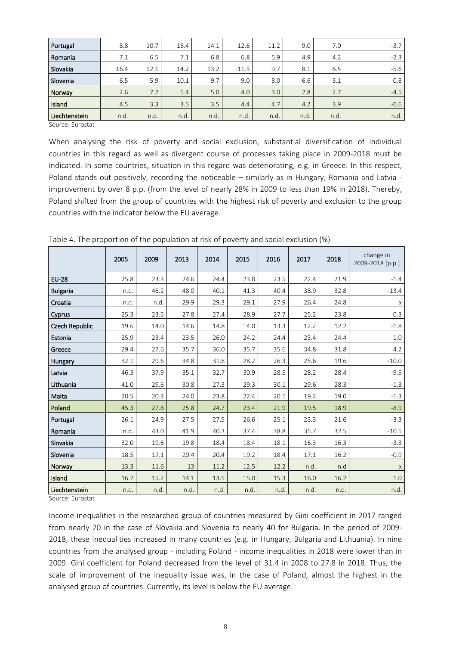| Portugal      | 8.8  | 10.7 | 16.4 | 14.1 | 12.6 | 11.2 | 9.0  | 7.0  | $-3.7$ |
|---------------|------|------|------|------|------|------|------|------|--------|
| Romania       | 7.1  | 6.5  | 7.1  | 6.8  | 6.8  | 5.9  | 4.9  | 4.2  | $-2.3$ |
| Slovakia      | 16.4 | 12.1 | 14.2 | 13.2 | 11.5 | 9.7  | 8.1  | 6.5  | $-5.6$ |
| Slovenia      | 6.5  | 5.9  | 10.1 | 9.7  | 9.0  | 8.0  | 6.6  | 5.1  | 0.8    |
| Norway        | 2.6  | 7.2  | 5.4  | 5.0  | 4.0  | 3.0  | 2.8  | 2.7  | $-4.5$ |
| Island        | 4.5  | 3.3  | 3.5  | 3.5  | 4.4  | 4.7  | 4.2  | 3.9  | $-0.6$ |
| Liechtenstein | n.d. | n.d. | n.d. | n.d. | n.d. | n.d. | n.d. | n.d. | n.d.   |

Source: Eurostat

When analysing the risk of poverty and social exclusion, substantial diversification of individual countries in this regard as well as divergent course of processes taking place in 2009-2018 must be indicated. In some countries, situation in this regard was deteriorating, e.g. in Greece. In this respect, Poland stands out positively, recording the noticeable – similarly as in Hungary, Romania and Latvia improvement by over 8 p.p. (from the level of nearly 28% in 2009 to less than 19% in 2018). Thereby, Poland shifted from the group of countries with the highest risk of poverty and exclusion to the group countries with the indicator below the EU average.

|                       | 2005 | 2009 | 2013 | 2014 | 2015 | 2016 | 2017 | 2018 | change in<br>2009-2018 [p.p.] |
|-----------------------|------|------|------|------|------|------|------|------|-------------------------------|
| <b>EU-28</b>          | 25.8 | 23.3 | 24.6 | 24.4 | 23.8 | 23.5 | 22.4 | 21.9 | $-1.4$                        |
| <b>Bulgaria</b>       | n.d. | 46.2 | 48.0 | 40.1 | 41.3 | 40.4 | 38.9 | 32.8 | $-13.4$                       |
| Croatia               | n.d. | n.d. | 29.9 | 29.3 | 29.1 | 27.9 | 26.4 | 24.8 | X                             |
| Cyprus                | 25.3 | 23.5 | 27.8 | 27.4 | 28.9 | 27.7 | 25.2 | 23.8 | 0.3                           |
| <b>Czech Republic</b> | 19.6 | 14.0 | 14.6 | 14.8 | 14.0 | 13.3 | 12.2 | 12.2 | $-1.8$                        |
| Estonia               | 25.9 | 23.4 | 23.5 | 26.0 | 24.2 | 24.4 | 23.4 | 24.4 | 1.0                           |
| Greece                | 29.4 | 27.6 | 35.7 | 36.0 | 35.7 | 35.6 | 34.8 | 31.8 | 4.2                           |
| Hungary               | 32.1 | 29.6 | 34.8 | 31.8 | 28.2 | 26.3 | 25.6 | 19.6 | $-10.0$                       |
| Latvia                | 46.3 | 37.9 | 35.1 | 32.7 | 30.9 | 28.5 | 28.2 | 28.4 | $-9.5$                        |
| Lithuania             | 41.0 | 29.6 | 30.8 | 27.3 | 29.3 | 30.1 | 29.6 | 28.3 | $-1.3$                        |
| Malta                 | 20.5 | 20.3 | 24.0 | 23.8 | 22.4 | 20.1 | 19.2 | 19.0 | $-1.3$                        |
| Poland                | 45.3 | 27.8 | 25.8 | 24.7 | 23.4 | 21.9 | 19.5 | 18.9 | $-8.9$                        |
| Portugal              | 26.1 | 24.9 | 27.5 | 27.5 | 26.6 | 25.1 | 23.3 | 21.6 | $-3.3$                        |
| Romania               | n.d. | 43.0 | 41.9 | 40.3 | 37.4 | 38.8 | 35.7 | 32.5 | $-10.5$                       |
| Slovakia              | 32.0 | 19.6 | 19.8 | 18.4 | 18.4 | 18.1 | 16.3 | 16.3 | $-3.3$                        |
| Slovenia              | 18.5 | 17.1 | 20.4 | 20.4 | 19.2 | 18.4 | 17.1 | 16.2 | $-0.9$                        |
| Norway                | 13.3 | 11.6 | 13   | 11.2 | 12.5 | 12.2 | n.d. | n.d  | $\mathsf X$                   |
| Island                | 16.2 | 15.2 | 14.1 | 13.5 | 15.0 | 15.3 | 16.0 | 16.2 | $1.0$                         |
| Liechtenstein         | n.d. | n.d. | n.d. | n.d. | n.d. | n.d. | n.d. | n.d. | n.d.                          |

Table 4. The proportion of the population at risk of poverty and social exclusion (%)

Source: Eurostat

Income inequalities in the researched group of countries measured by Gini coefficient in 2017 ranged from nearly 20 in the case of Slovakia and Slovenia to nearly 40 for Bulgaria. In the period of 2009- 2018, these inequalities increased in many countries (e.g. in Hungary, Bulgaria and Lithuania). In nine countries from the analysed group - including Poland - income inequalities in 2018 were lower than in 2009. Gini coefficient for Poland decreased from the level of 31.4 in 2008 to 27.8 in 2018. Thus, the scale of improvement of the inequality issue was, in the case of Poland, almost the highest in the analysed group of countries. Currently, its level is below the EU average.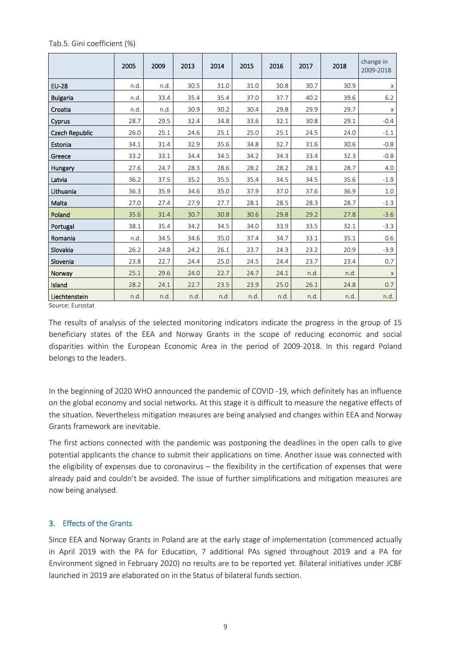|                 | 2005 | 2009 | 2013 | 2014 | 2015 | 2016 | 2017 | 2018 | change in<br>2009-2018 |
|-----------------|------|------|------|------|------|------|------|------|------------------------|
| <b>EU-28</b>    | n.d. | n.d. | 30.5 | 31.0 | 31.0 | 30.8 | 30.7 | 30.9 | X                      |
| <b>Bulgaria</b> | n.d. | 33.4 | 35.4 | 35.4 | 37.0 | 37.7 | 40.2 | 39.6 | $6.2$                  |
| Croatia         | n.d. | n.d. | 30.9 | 30.2 | 30.4 | 29.8 | 29.9 | 29.7 | $\mathsf X$            |
| Cyprus          | 28.7 | 29.5 | 32.4 | 34.8 | 33.6 | 32.1 | 30.8 | 29.1 | $-0.4$                 |
| Czech Republic  | 26.0 | 25.1 | 24.6 | 25.1 | 25.0 | 25.1 | 24.5 | 24.0 | $-1.1$                 |
| Estonia         | 34.1 | 31.4 | 32.9 | 35.6 | 34.8 | 32.7 | 31.6 | 30.6 | $-0.8$                 |
| Greece          | 33.2 | 33.1 | 34.4 | 34.5 | 34.2 | 34.3 | 33.4 | 32.3 | $-0.8$                 |
| Hungary         | 27.6 | 24.7 | 28.3 | 28.6 | 28.2 | 28.2 | 28.1 | 28.7 | 4.0                    |
| Latvia          | 36.2 | 37.5 | 35.2 | 35.5 | 35.4 | 34.5 | 34.5 | 35.6 | $-1.9$                 |
| Lithuania       | 36.3 | 35.9 | 34.6 | 35.0 | 37.9 | 37.0 | 37.6 | 36.9 | 1.0                    |
| Malta           | 27.0 | 27.4 | 27.9 | 27.7 | 28.1 | 28.5 | 28.3 | 28.7 | $-1.3$                 |
| Poland          | 35.6 | 31.4 | 30.7 | 30.8 | 30.6 | 29.8 | 29.2 | 27.8 | $-3.6$                 |
| Portugal        | 38.1 | 35.4 | 34.2 | 34.5 | 34.0 | 33.9 | 33.5 | 32.1 | $-3.3$                 |
| Romania         | n.d. | 34.5 | 34.6 | 35.0 | 37.4 | 34.7 | 33.1 | 35.1 | 0.6                    |
| Slovakia        | 26.2 | 24.8 | 24.2 | 26.1 | 23.7 | 24.3 | 23.2 | 20.9 | $-3.9$                 |
| Slovenia        | 23.8 | 22.7 | 24.4 | 25.0 | 24.5 | 24.4 | 23.7 | 23.4 | 0.7                    |
| Norway          | 25.1 | 29.6 | 24.0 | 22.7 | 24.7 | 24.1 | n.d. | n.d. | $\mathsf X$            |
| Island          | 28.2 | 24.1 | 22.7 | 23.5 | 23.9 | 25.0 | 26.1 | 24.8 | 0.7                    |
| Liechtenstein   | n.d. | n.d. | n.d. | n.d. | n.d. | n.d. | n.d. | n.d. | n.d.                   |

Tab.5. Gini coefficient (%)

Source: Eurostat

The results of analysis of the selected monitoring indicators indicate the progress in the group of 15 beneficiary states of the EEA and Norway Grants in the scope of reducing economic and social disparities within the European Economic Area in the period of 2009-2018. In this regard Poland belongs to the leaders.

In the beginning of 2020 WHO announced the pandemic of COVID -19, which definitely has an influence on the global economy and social networks. At this stage it is difficult to measure the negative effects of the situation. Nevertheless mitigation measures are being analysed and changes within EEA and Norway Grants framework are inevitable.

The first actions connected with the pandemic was postponing the deadlines in the open calls to give potential applicants the chance to submit their applications on time. Another issue was connected with the eligibility of expenses due to coronavirus – the flexibility in the certification of expenses that were already paid and couldn't be avoided. The issue of further simplifications and mitigation measures are now being analysed.

## **3. Effects of the Grants**

Since EEA and Norway Grants in Poland are at the early stage of implementation (commenced actually in April 2019 with the PA for Education, 7 additional PAs signed throughout 2019 and a PA for Environment signed in February 2020) no results are to be reported yet. Bilateral initiatives under JCBF launched in 2019 are elaborated on in the Status of bilateral funds section.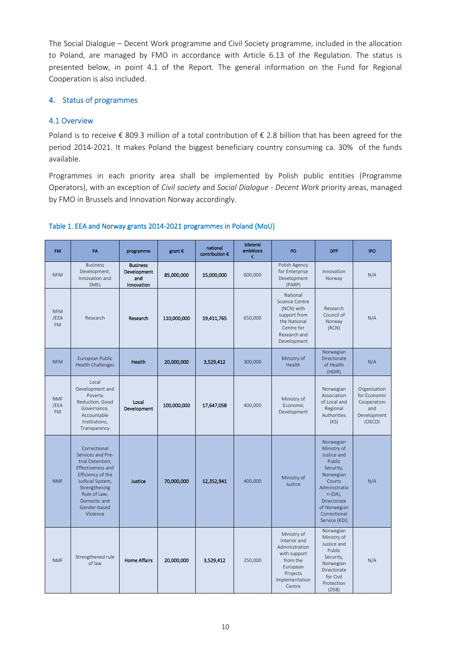The Social Dialogue – Decent Work programme and Civil Society programme, included in the allocation to Poland, are managed by FMO in accordance with Article 6.13 of the Regulation. The status is presented below, in point 4.1 of the Report. The general information on the Fund for Regional Cooperation is also included.

## **4. Status of programmes**

## **4.1 Overview**

Poland is to receive  $\epsilon$  809.3 million of a total contribution of  $\epsilon$  2.8 billion that has been agreed for the period 2014-2021. It makes Poland the biggest beneficiary country consuming ca. 30% of the funds available.

Programmes in each priority area shall be implemented by Polish public entities (Programme Operators), with an exception of *Civil society* and *Social Dialogue - Decent Work* priority areas, managed by FMO in Brussels and Innovation Norway accordingly.

| <b>FM</b>                       | PA                                                                                                                                                                                               | programme                                           | grant €     | national<br>contribution € | bilateral<br>ambitions<br>€ | PO                                                                                                                            | <b>DPP</b>                                                                                                                                                                        | IPO                                                                         |
|---------------------------------|--------------------------------------------------------------------------------------------------------------------------------------------------------------------------------------------------|-----------------------------------------------------|-------------|----------------------------|-----------------------------|-------------------------------------------------------------------------------------------------------------------------------|-----------------------------------------------------------------------------------------------------------------------------------------------------------------------------------|-----------------------------------------------------------------------------|
| <b>NFM</b>                      | <b>Business</b><br>Development,<br>Innovation and<br>SMEs                                                                                                                                        | <b>Business</b><br>Development<br>and<br>Innovation | 85,000,000  | 15,000,000                 | 600,000                     | Polish Agency<br>for Enterprise<br>Development<br>(PARP)                                                                      | Innovation<br>Norway                                                                                                                                                              | N/A                                                                         |
| <b>NFM</b><br>/EEA<br><b>FM</b> | Research                                                                                                                                                                                         | Research                                            | 110,000,000 | 19,411,765                 | 650,000                     | National<br>Science Centre<br>(NCN) with<br>support from<br>the National<br>Centre for<br>Research and<br>Development         | Research<br>Council of<br>Norway<br>(RCN)                                                                                                                                         | N/A                                                                         |
| <b>NFM</b>                      | European Public<br><b>Health Challenges</b>                                                                                                                                                      | <b>Health</b>                                       | 20,000,000  | 3,529,412                  | 300,000                     | Ministry of<br>Health                                                                                                         | Norwegian<br>Directorate<br>of Health<br>(HDIR)                                                                                                                                   | N/A                                                                         |
| <b>NMF</b><br>/EEA<br><b>FM</b> | Local<br>Development and<br>Poverty<br>Reduction, Good<br>Governance,<br>Accountable<br>Institutions,<br>Transparency                                                                            | Local<br>Development                                | 100,000,000 | 17,647,058                 | 400,000                     | Ministry of<br>Economic<br>Development                                                                                        | Norwegian<br>Association<br>of Local and<br>Regional<br>Authorities<br>(KS)                                                                                                       | Organisation<br>for Economic<br>Cooperation<br>and<br>Development<br>(OECD) |
| <b>NMF</b>                      | Correctional<br>Services and Pre-<br>trial Detention;<br>Effectiveness and<br>Efficiency of the<br>Judicial System,<br>Strengthening<br>Rule of Law;<br>Domestic and<br>Gender-based<br>Violence | Justice                                             | 70,000,000  | 12,352,941                 | 400,000                     | Ministry of<br>Justice                                                                                                        | Norwegian<br>Ministry of<br>Justice and<br>Public<br>Security,<br>Norwegian<br>Courts<br>Administratio<br>n (DA),<br>Directorate<br>of Norwegian<br>Correctional<br>Service (KDI) | N/A                                                                         |
| <b>NMF</b>                      | Strengthened rule<br>of law                                                                                                                                                                      | <b>Home Affairs</b>                                 | 20,000,000  | 3,529,412                  | 250,000                     | Ministry of<br>Interior and<br>Administration<br>with support<br>from the<br>European<br>Projects<br>Implementation<br>Centre | Norwegian<br>Ministry of<br>Justice and<br>Public<br>Security,<br>Norwegian<br>Directorate<br>for Civil<br>Protection<br>(DSB)                                                    | N/A                                                                         |

#### **Table 1. EEA and Norway grants 2014-2021 programmes in Poland (MoU)**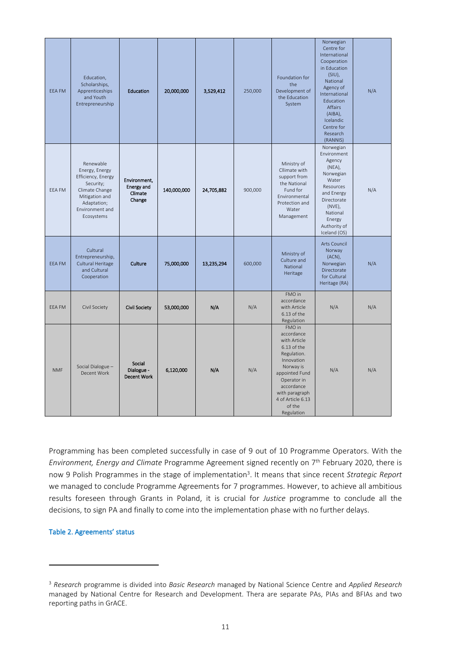| <b>EEA FM</b> | Education,<br>Scholarships,<br>Apprenticeships<br>and Youth<br>Entrepreneurship                                                                    | <b>Education</b>                                       | 20,000,000  | 3,529,412  | 250,000 | Foundation for<br>the<br>Development of<br>the Education<br>System                                                                                                                                          | Norwegian<br>Centre for<br>International<br>Cooperation<br>in Education<br>$(SIU)$ ,<br>National<br>Agency of<br>International<br>Education<br>Affairs<br>(AIBA),<br>Icelandic<br>Centre for<br>Research<br>(RANNIS) | N/A |
|---------------|----------------------------------------------------------------------------------------------------------------------------------------------------|--------------------------------------------------------|-------------|------------|---------|-------------------------------------------------------------------------------------------------------------------------------------------------------------------------------------------------------------|----------------------------------------------------------------------------------------------------------------------------------------------------------------------------------------------------------------------|-----|
| EEA FM        | Renewable<br>Energy, Energy<br>Efficiency, Energy<br>Security;<br>Climate Change<br>Mitigation and<br>Adaptation;<br>Environment and<br>Ecosystems | Environment,<br><b>Energy and</b><br>Climate<br>Change | 140,000,000 | 24,705,882 | 900,000 | Ministry of<br>Cllimate with<br>support from<br>the National<br>Fund for<br>Environmental<br>Protection and<br>Water<br>Management                                                                          | Norwegian<br>Environment<br>Agency<br>$(NEA)$ ,<br>Norwegian<br>Water<br>Resources<br>and Energy<br>Directorate<br>$(NVE)$ ,<br>National<br>Energy<br>Authority of<br>Iceland (OS)                                   | N/A |
| <b>EEA FM</b> | Cultural<br>Entrepreneurship,<br>Cultural Heritage<br>and Cultural<br>Cooperation                                                                  | Culture                                                | 75,000,000  | 13,235,294 | 600,000 | Ministry of<br>Culture and<br>National<br>Heritage                                                                                                                                                          | Arts Council<br>Norway<br>$(ACN)$ ,<br>Norwegian<br>Directorate<br>for Cultural<br>Heritage (RA)                                                                                                                     | N/A |
| <b>EEA FM</b> | Civil Society                                                                                                                                      | <b>Civil Society</b>                                   | 53,000,000  | N/A        | N/A     | FMO in<br>accordance<br>with Article<br>6.13 of the<br>Regulation                                                                                                                                           | N/A                                                                                                                                                                                                                  | N/A |
| <b>NMF</b>    | Social Dialogue-<br>Decent Work                                                                                                                    | Social<br>Dialogue -<br><b>Decent Work</b>             | 6,120,000   | N/A        | N/A     | FMO in<br>accordance<br>with Article<br>6.13 of the<br>Regulation.<br>Innovation<br>Norway is<br>appointed Fund<br>Operator in<br>accordance<br>with paragraph<br>4 of Article 6.13<br>of the<br>Regulation | N/A                                                                                                                                                                                                                  | N/A |

Programming has been completed successfully in case of 9 out of 10 Programme Operators. With the *Environment, Energy and Climate* Programme Agreement signed recently on 7 th February 2020, there is now 9 Polish Programmes in the stage of implementation<sup>3</sup> . It means that since recent *Strategic Report* we managed to conclude Programme Agreements for 7 programmes. However, to achieve all ambitious results foreseen through Grants in Poland, it is crucial for *Justice* programme to conclude all the decisions, to sign PA and finally to come into the implementation phase with no further delays.

#### **Table 2. Agreements' status**

<sup>3</sup> *Research* programme is divided into *Basic Research* managed by National Science Centre and *Applied Research* managed by National Centre for Research and Development. Thera are separate PAs, PIAs and BFIAs and two reporting paths in GrACE.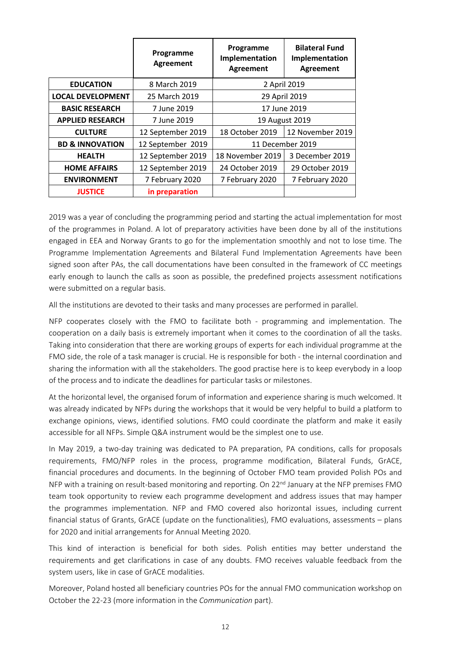|                            | Programme<br><b>Agreement</b> | Programme<br>Implementation<br><b>Agreement</b> | <b>Bilateral Fund</b><br>Implementation<br><b>Agreement</b> |
|----------------------------|-------------------------------|-------------------------------------------------|-------------------------------------------------------------|
| <b>EDUCATION</b>           | 8 March 2019                  | 2 April 2019                                    |                                                             |
| <b>LOCAL DEVELOPMENT</b>   | 25 March 2019                 | 29 April 2019                                   |                                                             |
| <b>BASIC RESEARCH</b>      | 7 June 2019                   |                                                 | 17 June 2019                                                |
| <b>APPLIED RESEARCH</b>    | 7 June 2019                   |                                                 | 19 August 2019                                              |
| <b>CULTURE</b>             | 12 September 2019             | 18 October 2019                                 | 12 November 2019                                            |
| <b>BD &amp; INNOVATION</b> | 12 September 2019             | 11 December 2019                                |                                                             |
| <b>HEALTH</b>              | 12 September 2019             | 18 November 2019                                | 3 December 2019                                             |
| <b>HOME AFFAIRS</b>        | 12 September 2019             | 24 October 2019                                 | 29 October 2019                                             |
| <b>ENVIRONMENT</b>         | 7 February 2020               | 7 February 2020<br>7 February 2020              |                                                             |
| <b>JUSTICE</b>             | in preparation                |                                                 |                                                             |

2019 was a year of concluding the programming period and starting the actual implementation for most of the programmes in Poland. A lot of preparatory activities have been done by all of the institutions engaged in EEA and Norway Grants to go for the implementation smoothly and not to lose time. The Programme Implementation Agreements and Bilateral Fund Implementation Agreements have been signed soon after PAs, the call documentations have been consulted in the framework of CC meetings early enough to launch the calls as soon as possible, the predefined projects assessment notifications were submitted on a regular basis.

All the institutions are devoted to their tasks and many processes are performed in parallel.

NFP cooperates closely with the FMO to facilitate both - programming and implementation. The cooperation on a daily basis is extremely important when it comes to the coordination of all the tasks. Taking into consideration that there are working groups of experts for each individual programme at the FMO side, the role of a task manager is crucial. He is responsible for both - the internal coordination and sharing the information with all the stakeholders. The good practise here is to keep everybody in a loop of the process and to indicate the deadlines for particular tasks or milestones.

At the horizontal level, the organised forum of information and experience sharing is much welcomed. It was already indicated by NFPs during the workshops that it would be very helpful to build a platform to exchange opinions, views, identified solutions. FMO could coordinate the platform and make it easily accessible for all NFPs. Simple Q&A instrument would be the simplest one to use.

In May 2019, a two-day training was dedicated to PA preparation, PA conditions, calls for proposals requirements, FMO/NFP roles in the process, programme modification, Bilateral Funds, GrACE, financial procedures and documents. In the beginning of October FMO team provided Polish POs and NFP with a training on result-based monitoring and reporting. On  $22<sup>nd</sup>$  January at the NFP premises FMO team took opportunity to review each programme development and address issues that may hamper the programmes implementation. NFP and FMO covered also horizontal issues, including current financial status of Grants, GrACE (update on the functionalities), FMO evaluations, assessments – plans for 2020 and initial arrangements for Annual Meeting 2020.

This kind of interaction is beneficial for both sides. Polish entities may better understand the requirements and get clarifications in case of any doubts. FMO receives valuable feedback from the system users, like in case of GrACE modalities.

Moreover, Poland hosted all beneficiary countries POs for the annual FMO communication workshop on October the 22-23 (more information in the *Communication* part).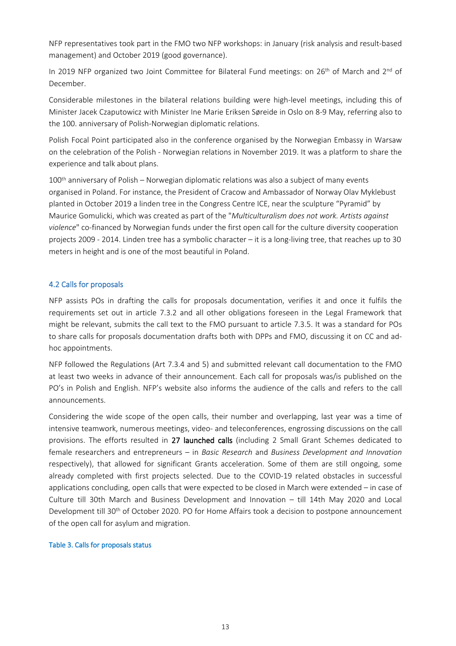NFP representatives took part in the FMO two NFP workshops: in January (risk analysis and result-based management) and October 2019 (good governance).

In 2019 NFP organized two Joint Committee for Bilateral Fund meetings: on 26<sup>th</sup> of March and 2<sup>nd</sup> of December.

Considerable milestones in the bilateral relations building were high-level meetings, including this of Minister Jacek Czaputowicz with Minister Ine Marie Eriksen Søreide in Oslo on 8-9 May, referring also to the 100. anniversary of Polish-Norwegian diplomatic relations.

Polish Focal Point participated also in the conference organised by the Norwegian Embassy in Warsaw on the celebration of the Polish - Norwegian relations in November 2019. It was a platform to share the experience and talk about plans.

100<sup>th</sup> anniversary of Polish – Norwegian diplomatic relations was also a subject of many events organised in Poland. For instance, the President of Cracow and Ambassador of Norway Olav Myklebust planted in October 2019 a linden tree in the Congress Centre ICE, near the sculpture "Pyramid" by Maurice Gomulicki, which was created as part of the "*Multiculturalism does not work. Artists against violence*" co-financed by Norwegian funds under the first open call for the culture diversity cooperation projects 2009 - 2014. Linden tree has a symbolic character – it is a long-living tree, that reaches up to 30 meters in height and is one of the most beautiful in Poland.

## **4.2 Calls for proposals**

NFP assists POs in drafting the calls for proposals documentation, verifies it and once it fulfils the requirements set out in article 7.3.2 and all other obligations foreseen in the Legal Framework that might be relevant, submits the call text to the FMO pursuant to article 7.3.5. It was a standard for POs to share calls for proposals documentation drafts both with DPPs and FMO, discussing it on CC and adhoc appointments.

NFP followed the Regulations (Art 7.3.4 and 5) and submitted relevant call documentation to the FMO at least two weeks in advance of their announcement. Each call for proposals was/is published on the PO's in Polish and English. NFP's website also informs the audience of the calls and refers to the call announcements.

Considering the wide scope of the open calls, their number and overlapping, last year was a time of intensive teamwork, numerous meetings, video- and teleconferences, engrossing discussions on the call provisions. The efforts resulted in **27 launched calls** (including 2 Small Grant Schemes dedicated to female researchers and entrepreneurs – in *Basic Research* and *Business Development and Innovation* respectively), that allowed for significant Grants acceleration. Some of them are still ongoing, some already completed with first projects selected. Due to the COVID-19 related obstacles in successful applications concluding, open calls that were expected to be closed in March were extended – in case of Culture till 30th March and Business Development and Innovation – till 14th May 2020 and Local Development till 30<sup>th</sup> of October 2020. PO for Home Affairs took a decision to postpone announcement of the open call for asylum and migration.

#### **Table 3. Calls for proposals status**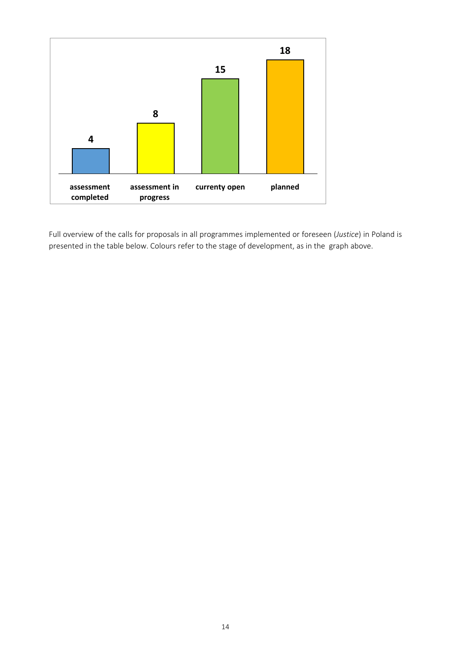

Full overview of the calls for proposals in all programmes implemented or foreseen (*Justice*) in Poland is presented in the table below.Colours refer to the stage of development, as in the graph above.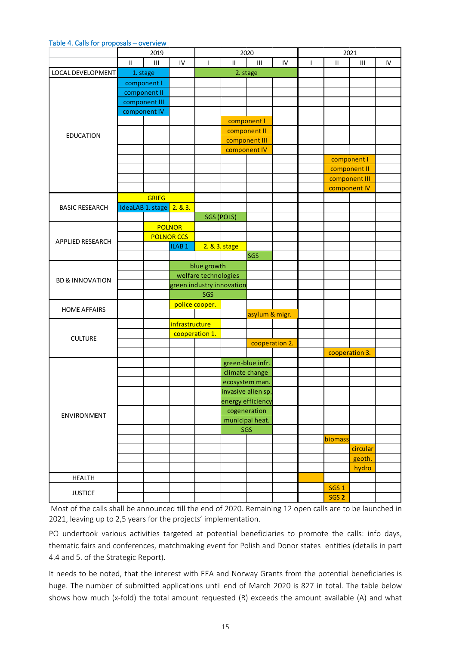#### **Table 4. Calls for proposals – overview**

| $\ensuremath{\mathsf{III}}\xspace$<br>$\mathbf{III}$<br>IV<br>$\rm H$<br>$\ensuremath{\mathsf{II}}$<br>$\mathbf{I}$<br>IV<br>$\ensuremath{\mathsf{II}}$<br>$\mathbf{III}$<br>IV<br>$\mathbf{I}$<br>LOCAL DEVELOPMENT<br>1. stage<br>2. stage<br>component I<br>component II<br>component III<br>component IV<br>component I<br>component II<br><b>EDUCATION</b><br>component III<br>component IV<br>component I<br>component II<br>component III<br>component IV<br><b>GRIEG</b><br>2.83.<br>IdeaLAB 1. stage<br><b>BASIC RESEARCH</b><br>SGS (POLS)<br><b>POLNOR</b><br><b>POLNOR CCS</b><br>APPLIED RESEARCH<br>ILAB <sub>1</sub><br>2. & 3. stage<br><b>SGS</b><br>blue growth<br>welfare technologies<br><b>BD &amp; INNOVATION</b><br>green industry innovation<br>SGS<br>police cooper.<br><b>HOME AFFAIRS</b><br>asylum & migr.<br>infrastructure<br>cooperation 1.<br><b>CULTURE</b><br>cooperation 2.<br>cooperation 3.<br>green-blue infr.<br>climate change<br>ecosystem man.<br>invasive alien sp.<br>energy efficiency<br>cogeneration<br>ENVIRONMENT<br>municipal heat.<br>SGS<br>biomass<br>circular<br>geoth.<br>hydro<br><b>HEALTH</b><br>SGS <sub>1</sub><br><b>JUSTICE</b> |                  | 2019 |  |  | 2020 |  |  |      |  |
|-----------------------------------------------------------------------------------------------------------------------------------------------------------------------------------------------------------------------------------------------------------------------------------------------------------------------------------------------------------------------------------------------------------------------------------------------------------------------------------------------------------------------------------------------------------------------------------------------------------------------------------------------------------------------------------------------------------------------------------------------------------------------------------------------------------------------------------------------------------------------------------------------------------------------------------------------------------------------------------------------------------------------------------------------------------------------------------------------------------------------------------------------------------------------------------------------|------------------|------|--|--|------|--|--|------|--|
|                                                                                                                                                                                                                                                                                                                                                                                                                                                                                                                                                                                                                                                                                                                                                                                                                                                                                                                                                                                                                                                                                                                                                                                               |                  |      |  |  |      |  |  |      |  |
|                                                                                                                                                                                                                                                                                                                                                                                                                                                                                                                                                                                                                                                                                                                                                                                                                                                                                                                                                                                                                                                                                                                                                                                               |                  |      |  |  |      |  |  |      |  |
|                                                                                                                                                                                                                                                                                                                                                                                                                                                                                                                                                                                                                                                                                                                                                                                                                                                                                                                                                                                                                                                                                                                                                                                               |                  |      |  |  |      |  |  |      |  |
|                                                                                                                                                                                                                                                                                                                                                                                                                                                                                                                                                                                                                                                                                                                                                                                                                                                                                                                                                                                                                                                                                                                                                                                               |                  |      |  |  |      |  |  |      |  |
|                                                                                                                                                                                                                                                                                                                                                                                                                                                                                                                                                                                                                                                                                                                                                                                                                                                                                                                                                                                                                                                                                                                                                                                               |                  |      |  |  |      |  |  |      |  |
|                                                                                                                                                                                                                                                                                                                                                                                                                                                                                                                                                                                                                                                                                                                                                                                                                                                                                                                                                                                                                                                                                                                                                                                               | SGS <sub>2</sub> |      |  |  |      |  |  |      |  |
|                                                                                                                                                                                                                                                                                                                                                                                                                                                                                                                                                                                                                                                                                                                                                                                                                                                                                                                                                                                                                                                                                                                                                                                               |                  |      |  |  |      |  |  |      |  |
|                                                                                                                                                                                                                                                                                                                                                                                                                                                                                                                                                                                                                                                                                                                                                                                                                                                                                                                                                                                                                                                                                                                                                                                               |                  |      |  |  |      |  |  |      |  |
|                                                                                                                                                                                                                                                                                                                                                                                                                                                                                                                                                                                                                                                                                                                                                                                                                                                                                                                                                                                                                                                                                                                                                                                               |                  |      |  |  |      |  |  |      |  |
|                                                                                                                                                                                                                                                                                                                                                                                                                                                                                                                                                                                                                                                                                                                                                                                                                                                                                                                                                                                                                                                                                                                                                                                               |                  |      |  |  |      |  |  |      |  |
|                                                                                                                                                                                                                                                                                                                                                                                                                                                                                                                                                                                                                                                                                                                                                                                                                                                                                                                                                                                                                                                                                                                                                                                               |                  |      |  |  |      |  |  |      |  |
|                                                                                                                                                                                                                                                                                                                                                                                                                                                                                                                                                                                                                                                                                                                                                                                                                                                                                                                                                                                                                                                                                                                                                                                               |                  |      |  |  |      |  |  |      |  |
|                                                                                                                                                                                                                                                                                                                                                                                                                                                                                                                                                                                                                                                                                                                                                                                                                                                                                                                                                                                                                                                                                                                                                                                               |                  |      |  |  |      |  |  |      |  |
|                                                                                                                                                                                                                                                                                                                                                                                                                                                                                                                                                                                                                                                                                                                                                                                                                                                                                                                                                                                                                                                                                                                                                                                               |                  |      |  |  |      |  |  |      |  |
|                                                                                                                                                                                                                                                                                                                                                                                                                                                                                                                                                                                                                                                                                                                                                                                                                                                                                                                                                                                                                                                                                                                                                                                               |                  |      |  |  |      |  |  |      |  |
|                                                                                                                                                                                                                                                                                                                                                                                                                                                                                                                                                                                                                                                                                                                                                                                                                                                                                                                                                                                                                                                                                                                                                                                               |                  |      |  |  |      |  |  |      |  |
|                                                                                                                                                                                                                                                                                                                                                                                                                                                                                                                                                                                                                                                                                                                                                                                                                                                                                                                                                                                                                                                                                                                                                                                               |                  |      |  |  |      |  |  |      |  |
|                                                                                                                                                                                                                                                                                                                                                                                                                                                                                                                                                                                                                                                                                                                                                                                                                                                                                                                                                                                                                                                                                                                                                                                               |                  |      |  |  |      |  |  | 2021 |  |
|                                                                                                                                                                                                                                                                                                                                                                                                                                                                                                                                                                                                                                                                                                                                                                                                                                                                                                                                                                                                                                                                                                                                                                                               |                  |      |  |  |      |  |  |      |  |
|                                                                                                                                                                                                                                                                                                                                                                                                                                                                                                                                                                                                                                                                                                                                                                                                                                                                                                                                                                                                                                                                                                                                                                                               |                  |      |  |  |      |  |  |      |  |
|                                                                                                                                                                                                                                                                                                                                                                                                                                                                                                                                                                                                                                                                                                                                                                                                                                                                                                                                                                                                                                                                                                                                                                                               |                  |      |  |  |      |  |  |      |  |
|                                                                                                                                                                                                                                                                                                                                                                                                                                                                                                                                                                                                                                                                                                                                                                                                                                                                                                                                                                                                                                                                                                                                                                                               |                  |      |  |  |      |  |  |      |  |
|                                                                                                                                                                                                                                                                                                                                                                                                                                                                                                                                                                                                                                                                                                                                                                                                                                                                                                                                                                                                                                                                                                                                                                                               |                  |      |  |  |      |  |  |      |  |
|                                                                                                                                                                                                                                                                                                                                                                                                                                                                                                                                                                                                                                                                                                                                                                                                                                                                                                                                                                                                                                                                                                                                                                                               |                  |      |  |  |      |  |  |      |  |
|                                                                                                                                                                                                                                                                                                                                                                                                                                                                                                                                                                                                                                                                                                                                                                                                                                                                                                                                                                                                                                                                                                                                                                                               |                  |      |  |  |      |  |  |      |  |
|                                                                                                                                                                                                                                                                                                                                                                                                                                                                                                                                                                                                                                                                                                                                                                                                                                                                                                                                                                                                                                                                                                                                                                                               |                  |      |  |  |      |  |  |      |  |
|                                                                                                                                                                                                                                                                                                                                                                                                                                                                                                                                                                                                                                                                                                                                                                                                                                                                                                                                                                                                                                                                                                                                                                                               |                  |      |  |  |      |  |  |      |  |
|                                                                                                                                                                                                                                                                                                                                                                                                                                                                                                                                                                                                                                                                                                                                                                                                                                                                                                                                                                                                                                                                                                                                                                                               |                  |      |  |  |      |  |  |      |  |
|                                                                                                                                                                                                                                                                                                                                                                                                                                                                                                                                                                                                                                                                                                                                                                                                                                                                                                                                                                                                                                                                                                                                                                                               |                  |      |  |  |      |  |  |      |  |
|                                                                                                                                                                                                                                                                                                                                                                                                                                                                                                                                                                                                                                                                                                                                                                                                                                                                                                                                                                                                                                                                                                                                                                                               |                  |      |  |  |      |  |  |      |  |
|                                                                                                                                                                                                                                                                                                                                                                                                                                                                                                                                                                                                                                                                                                                                                                                                                                                                                                                                                                                                                                                                                                                                                                                               |                  |      |  |  |      |  |  |      |  |
|                                                                                                                                                                                                                                                                                                                                                                                                                                                                                                                                                                                                                                                                                                                                                                                                                                                                                                                                                                                                                                                                                                                                                                                               |                  |      |  |  |      |  |  |      |  |
|                                                                                                                                                                                                                                                                                                                                                                                                                                                                                                                                                                                                                                                                                                                                                                                                                                                                                                                                                                                                                                                                                                                                                                                               |                  |      |  |  |      |  |  |      |  |
|                                                                                                                                                                                                                                                                                                                                                                                                                                                                                                                                                                                                                                                                                                                                                                                                                                                                                                                                                                                                                                                                                                                                                                                               |                  |      |  |  |      |  |  |      |  |
|                                                                                                                                                                                                                                                                                                                                                                                                                                                                                                                                                                                                                                                                                                                                                                                                                                                                                                                                                                                                                                                                                                                                                                                               |                  |      |  |  |      |  |  |      |  |
|                                                                                                                                                                                                                                                                                                                                                                                                                                                                                                                                                                                                                                                                                                                                                                                                                                                                                                                                                                                                                                                                                                                                                                                               |                  |      |  |  |      |  |  |      |  |
|                                                                                                                                                                                                                                                                                                                                                                                                                                                                                                                                                                                                                                                                                                                                                                                                                                                                                                                                                                                                                                                                                                                                                                                               |                  |      |  |  |      |  |  |      |  |
|                                                                                                                                                                                                                                                                                                                                                                                                                                                                                                                                                                                                                                                                                                                                                                                                                                                                                                                                                                                                                                                                                                                                                                                               |                  |      |  |  |      |  |  |      |  |
|                                                                                                                                                                                                                                                                                                                                                                                                                                                                                                                                                                                                                                                                                                                                                                                                                                                                                                                                                                                                                                                                                                                                                                                               |                  |      |  |  |      |  |  |      |  |
|                                                                                                                                                                                                                                                                                                                                                                                                                                                                                                                                                                                                                                                                                                                                                                                                                                                                                                                                                                                                                                                                                                                                                                                               |                  |      |  |  |      |  |  |      |  |
|                                                                                                                                                                                                                                                                                                                                                                                                                                                                                                                                                                                                                                                                                                                                                                                                                                                                                                                                                                                                                                                                                                                                                                                               |                  |      |  |  |      |  |  |      |  |
|                                                                                                                                                                                                                                                                                                                                                                                                                                                                                                                                                                                                                                                                                                                                                                                                                                                                                                                                                                                                                                                                                                                                                                                               |                  |      |  |  |      |  |  |      |  |
|                                                                                                                                                                                                                                                                                                                                                                                                                                                                                                                                                                                                                                                                                                                                                                                                                                                                                                                                                                                                                                                                                                                                                                                               |                  |      |  |  |      |  |  |      |  |
|                                                                                                                                                                                                                                                                                                                                                                                                                                                                                                                                                                                                                                                                                                                                                                                                                                                                                                                                                                                                                                                                                                                                                                                               |                  |      |  |  |      |  |  |      |  |
|                                                                                                                                                                                                                                                                                                                                                                                                                                                                                                                                                                                                                                                                                                                                                                                                                                                                                                                                                                                                                                                                                                                                                                                               |                  |      |  |  |      |  |  |      |  |

Most of the calls shall be announced till the end of 2020. Remaining 12 open calls are to be launched in 2021, leaving up to 2,5 years for the projects' implementation.

PO undertook various activities targeted at potential beneficiaries to promote the calls: info days, thematic fairs and conferences, matchmaking event for Polish and Donor states entities (details in part 4.4 and 5. of the Strategic Report).

It needs to be noted, that the interest with EEA and Norway Grants from the potential beneficiaries is huge. The number of submitted applications until end of March 2020 is 827 in total. The table below shows how much (x-fold) the total amount requested (R) exceeds the amount available (A) and what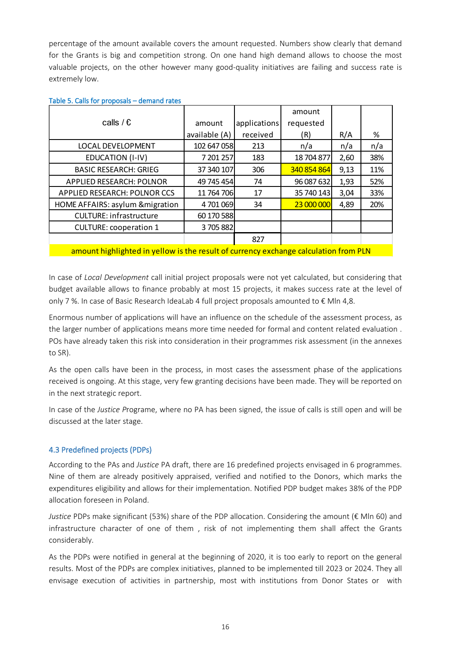percentage of the amount available covers the amount requested. Numbers show clearly that demand for the Grants is big and competition strong. On one hand high demand allows to choose the most valuable projects, on the other however many good-quality initiatives are failing and success rate is extremely low.

|                                                                                      |               |              | amount      |      |     |  |  |  |  |
|--------------------------------------------------------------------------------------|---------------|--------------|-------------|------|-----|--|--|--|--|
| calls / $\epsilon$                                                                   | amount        | applications | requested   |      |     |  |  |  |  |
|                                                                                      | available (A) | received     | (R)         | R/A  | %   |  |  |  |  |
| LOCAL DEVELOPMENT                                                                    | 102 647 058   | 213          | n/a         | n/a  | n/a |  |  |  |  |
| EDUCATION (I-IV)                                                                     | 7 201 257     | 183          | 18 704 877  | 2,60 | 38% |  |  |  |  |
| <b>BASIC RESEARCH: GRIEG</b>                                                         | 37 340 107    | 306          | 340 854 864 | 9,13 | 11% |  |  |  |  |
| <b>APPLIED RESEARCH: POLNOR</b>                                                      | 49 745 454    | 74           | 96 087 632  | 1,93 | 52% |  |  |  |  |
| APPLIED RESEARCH: POLNOR CCS                                                         | 11 764 706    | 17           | 35 740 143  | 3,04 | 33% |  |  |  |  |
| HOME AFFAIRS: asylum & migration                                                     | 4701069       | 34           | 23 000 000  | 4,89 | 20% |  |  |  |  |
| <b>CULTURE: infrastructure</b>                                                       | 60 170 588    |              |             |      |     |  |  |  |  |
| <b>CULTURE: cooperation 1</b>                                                        | 3705882       |              |             |      |     |  |  |  |  |
|                                                                                      |               | 827          |             |      |     |  |  |  |  |
| amount highlighted in yellow is the result of currency exchange calculation from PLN |               |              |             |      |     |  |  |  |  |

#### **Table 5. Calls for proposals – demand rates**

In case of *Local Development* call initial project proposals were not yet calculated, but considering that budget available allows to finance probably at most 15 projects, it makes success rate at the level of only 7 %. In case of Basic Research IdeaLab 4 full project proposals amounted to € Mln 4,8.

Enormous number of applications will have an influence on the schedule of the assessment process, as the larger number of applications means more time needed for formal and content related evaluation . POs have already taken this risk into consideration in their programmes risk assessment (in the annexes to SR).

As the open calls have been in the process, in most cases the assessment phase of the applications received is ongoing. At this stage, very few granting decisions have been made. They will be reported on in the next strategic report.

In case of the *Justice P*rograme, where no PA has been signed, the issue of calls is still open and will be discussed at the later stage.

# **4.3 Predefined projects (PDPs)**

According to the PAs and *Justice* PA draft, there are 16 predefined projects envisaged in 6 programmes. Nine of them are already positively appraised, verified and notified to the Donors, which marks the expenditures eligibility and allows for their implementation. Notified PDP budget makes 38% of the PDP allocation foreseen in Poland.

*Justice* PDPs make significant (53%) share of the PDP allocation. Considering the amount (€ Mln 60) and infrastructure character of one of them , risk of not implementing them shall affect the Grants considerably.

As the PDPs were notified in general at the beginning of 2020, it is too early to report on the general results. Most of the PDPs are complex initiatives, planned to be implemented till 2023 or 2024. They all envisage execution of activities in partnership, most with institutions from Donor States or with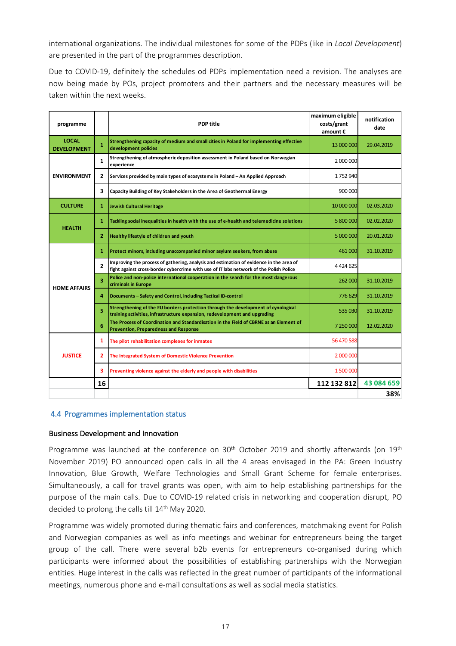international organizations. The individual milestones for some of the PDPs (like in *Local Development*) are presented in the part of the programmes description.

Due to COVID-19, definitely the schedules od PDPs implementation need a revision. The analyses are now being made by POs, project promoters and their partners and the necessary measures will be taken within the next weeks.

| programme                          |                                                                                                               | <b>PDP</b> title                                                                                                                                                                 | maximum eligible<br>costs/grant<br>amount€ | notification<br>date |
|------------------------------------|---------------------------------------------------------------------------------------------------------------|----------------------------------------------------------------------------------------------------------------------------------------------------------------------------------|--------------------------------------------|----------------------|
| <b>LOCAL</b><br><b>DEVELOPMENT</b> | $\mathbf{1}$                                                                                                  | Strengthening capacity of medium and small cities in Poland for implementing effective<br>development policies                                                                   | 13 000 000                                 | 29.04.2019           |
|                                    | Strengthening of atmospheric deposition assessment in Poland based on Norwegian<br>$\mathbf{1}$<br>experience |                                                                                                                                                                                  | 2 000 000                                  |                      |
| <b>ENVIRONMENT</b>                 | 2                                                                                                             | Services provided by main types of ecosystems in Poland - An Applied Approach                                                                                                    | 1752940                                    |                      |
|                                    | 3                                                                                                             | Capacity Building of Key Stakeholders in the Area of Geothermal Energy                                                                                                           | 900 000                                    |                      |
| <b>CULTURE</b>                     | 1                                                                                                             | <b>Jewish Cultural Heritage</b>                                                                                                                                                  | 10 000 000                                 | 02.03.2020           |
| <b>HEALTH</b>                      | 1                                                                                                             | Tackling social inequalities in health with the use of e-health and telemedicine solutions                                                                                       | 5 800 000                                  | 02.02.2020           |
|                                    | $\overline{2}$                                                                                                | Healthy lifestyle of children and youth                                                                                                                                          | 5 000 000                                  | 20.01.2020           |
|                                    | 1                                                                                                             | Protect minors, including unaccompanied minor asylum seekers, from abuse                                                                                                         | 461 000                                    | 31.10.2019           |
|                                    | $\overline{2}$                                                                                                | Improving the process of gathering, analysis and estimation of evidence in the area of<br>fight against cross-border cybercrime with use of IT labs network of the Polish Police | 4 4 2 4 6 2 5                              |                      |
| <b>HOME AFFAIRS</b>                | 3                                                                                                             | Police and non-police international cooperation in the search for the most dangerous<br>criminals in Europe                                                                      | 262 000                                    | 31.10.2019           |
|                                    | 4                                                                                                             | Documents - Safety and Control, including Tactical ID-control                                                                                                                    | 776 629                                    | 31.10.2019           |
|                                    | 5                                                                                                             | Strengthening of the EU borders protection through the development of cynological<br>training activities, infrastructure expansion, redevelopment and upgrading                  | 535 030                                    | 31.10.2019           |
|                                    | 6                                                                                                             | The Process of Coordination and Standardisation in the Field of CBRNE as an Element of<br><b>Prevention, Preparedness and Response</b>                                           | 7 250 000                                  | 12.02.2020           |
|                                    | 1                                                                                                             | The pilot rehabilitation complexes for inmates                                                                                                                                   | 56 470 588                                 |                      |
| <b>JUSTICE</b>                     | 2                                                                                                             | The Integrated System of Domestic Violence Prevention                                                                                                                            | 2 000 000                                  |                      |
|                                    | 3                                                                                                             | Preventing violence against the elderly and people with disabilities                                                                                                             | 1 500 000                                  |                      |
|                                    | 16                                                                                                            |                                                                                                                                                                                  | 112 132 812                                | 43 084 659           |
|                                    |                                                                                                               |                                                                                                                                                                                  |                                            | 38%                  |

#### **4.4 Programmes implementation status**

#### **Business Development and Innovation**

Programme was launched at the conference on 30<sup>th</sup> October 2019 and shortly afterwards (on 19<sup>th</sup> November 2019) PO announced open calls in all the 4 areas envisaged in the PA: Green Industry Innovation, Blue Growth, Welfare Technologies and Small Grant Scheme for female enterprises. Simultaneously, a call for travel grants was open, with aim to help establishing partnerships for the purpose of the main calls. Due to COVID-19 related crisis in networking and cooperation disrupt, PO decided to prolong the calls till 14<sup>th</sup> May 2020.

Programme was widely promoted during thematic fairs and conferences, matchmaking event for Polish and Norwegian companies as well as info meetings and webinar for entrepreneurs being the target group of the call. There were several b2b events for entrepreneurs co-organised during which participants were informed about the possibilities of establishing partnerships with the Norwegian entities. Huge interest in the calls was reflected in the great number of participants of the informational meetings, numerous phone and e-mail consultations as well as social media statistics.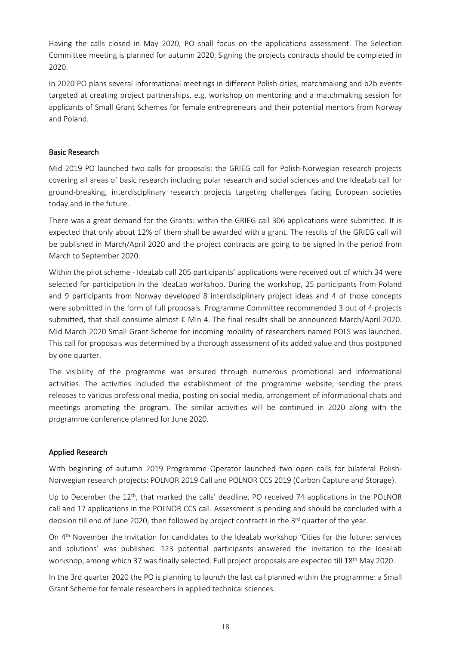Having the calls closed in May 2020, PO shall focus on the applications assessment. The Selection Committee meeting is planned for autumn 2020. Signing the projects contracts should be completed in 2020.

In 2020 PO plans several informational meetings in different Polish cities, matchmaking and b2b events targeted at creating project partnerships, e.g. workshop on mentoring and a matchmaking session for applicants of Small Grant Schemes for female entrepreneurs and their potential mentors from Norway and Poland.

## **Basic Research**

Mid 2019 PO launched two calls for proposals: the GRIEG call for Polish-Norwegian research projects covering all areas of basic research including polar research and social sciences and the IdeaLab call for ground-breaking, interdisciplinary research projects targeting challenges facing European societies today and in the future.

There was a great demand for the Grants: within the GRIEG call 306 applications were submitted. It is expected that only about 12% of them shall be awarded with a grant. The results of the GRIEG call will be published in March/April 2020 and the project contracts are going to be signed in the period from March to September 2020.

Within the pilot scheme - IdeaLab call 205 participants' applications were received out of which 34 were selected for participation in the IdeaLab workshop. During the workshop, 25 participants from Poland and 9 participants from Norway developed 8 interdisciplinary project ideas and 4 of those concepts were submitted in the form of full proposals. Programme Committee recommended 3 out of 4 projects submitted, that shall consume almost € Mln 4. The final results shall be announced March/April 2020. Mid March 2020 Small Grant Scheme for incoming mobility of researchers named POLS was launched. This call for proposals was determined by a thorough assessment of its added value and thus postponed by one quarter.

The visibility of the programme was ensured through numerous promotional and informational activities. The activities included the establishment of the programme website, sending the press releases to various professional media, posting on social media, arrangement of informational chats and meetings promoting the program. The similar activities will be continued in 2020 along with the programme conference planned for June 2020.

## **Applied Research**

With beginning of autumn 2019 Programme Operator launched two open calls for bilateral Polish-Norwegian research projects: POLNOR 2019 Call and POLNOR CCS 2019 (Carbon Capture and Storage).

Up to December the 12<sup>th</sup>, that marked the calls' deadline, PO received 74 applications in the POLNOR call and 17 applications in the POLNOR CCS call. Assessment is pending and should be concluded with a decision till end of June 2020, then followed by project contracts in the 3<sup>rd</sup> quarter of the year.

On 4 th November the invitation for candidates to the IdeaLab workshop 'Cities for the future: services and solutions' was published. 123 potential participants answered the invitation to the IdeaLab workshop, among which 37 was finally selected. Full project proposals are expected till 18<sup>th</sup> May 2020.

In the 3rd quarter 2020 the PO is planning to launch the last call planned within the programme: a Small Grant Scheme for female researchers in applied technical sciences.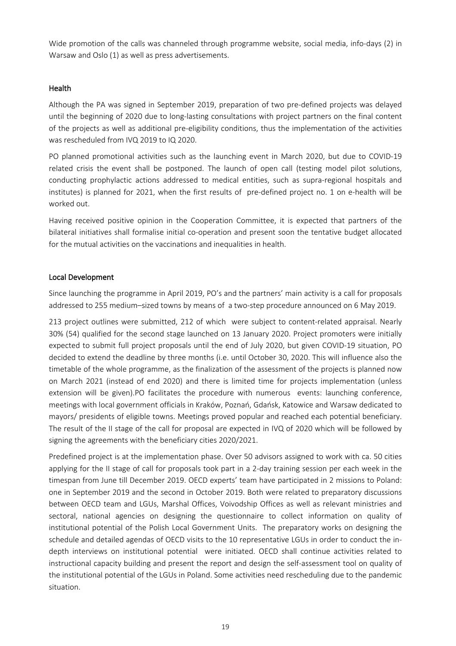Wide promotion of the calls was channeled through programme website, social media, info-days (2) in Warsaw and Oslo (1) as well as press advertisements.

## **Health**

Although the PA was signed in September 2019, preparation of two pre-defined projects was delayed until the beginning of 2020 due to long-lasting consultations with project partners on the final content of the projects as well as additional pre-eligibility conditions, thus the implementation of the activities was rescheduled from IVQ 2019 to IQ 2020.

PO planned promotional activities such as the launching event in March 2020, but due to COVID-19 related crisis the event shall be postponed. The launch of open call (testing model pilot solutions, conducting prophylactic actions addressed to medical entities, such as supra-regional hospitals and institutes) is planned for 2021, when the first results of pre-defined project no. 1 on e-health will be worked out.

Having received positive opinion in the Cooperation Committee, it is expected that partners of the bilateral initiatives shall formalise initial co-operation and present soon the tentative budget allocated for the mutual activities on the vaccinations and inequalities in health.

## **Local Development**

Since launching the programme in April 2019, PO's and the partners' main activity is a call for proposals addressed to 255 medium–sized towns by means of a two-step procedure announced on 6 May 2019.

213 project outlines were submitted, 212 of which were subject to content-related appraisal. Nearly 30% (54) qualified for the second stage launched on 13 January 2020. Project promoters were initially expected to submit full project proposals until the end of July 2020, but given COVID-19 situation, PO decided to extend the deadline by three months (i.e. until October 30, 2020. This will influence also the timetable of the whole programme, as the finalization of the assessment of the projects is planned now on March 2021 (instead of end 2020) and there is limited time for projects implementation (unless extension will be given).PO facilitates the procedure with numerous events: launching conference, meetings with local government officials in Kraków, Poznań, Gdańsk, Katowice and Warsaw dedicated to mayors/ presidents of eligible towns. Meetings proved popular and reached each potential beneficiary. The result of the II stage of the call for proposal are expected in IVQ of 2020 which will be followed by signing the agreements with the beneficiary cities 2020/2021.

Predefined project is at the implementation phase. Over 50 advisors assigned to work with ca. 50 cities applying for the II stage of call for proposals took part in a 2-day training session per each week in the timespan from June till December 2019. OECD experts' team have participated in 2 missions to Poland: one in September 2019 and the second in October 2019. Both were related to preparatory discussions between OECD team and LGUs, Marshal Offices, Voivodship Offices as well as relevant ministries and sectoral, national agencies on designing the questionnaire to collect information on quality of institutional potential of the Polish Local Government Units. The preparatory works on designing the schedule and detailed agendas of OECD visits to the 10 representative LGUs in order to conduct the indepth interviews on institutional potential were initiated. OECD shall continue activities related to instructional capacity building and present the report and design the self-assessment tool on quality of the institutional potential of the LGUs in Poland. Some activities need rescheduling due to the pandemic situation.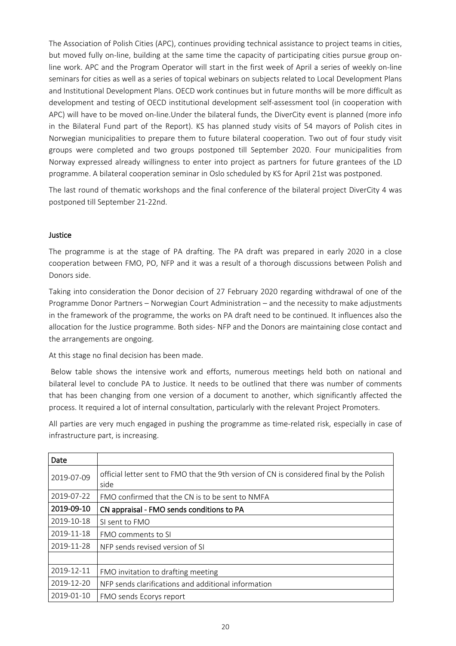The Association of Polish Cities (APC), continues providing technical assistance to project teams in cities, but moved fully on-line, building at the same time the capacity of participating cities pursue group online work. APC and the Program Operator will start in the first week of April a series of weekly on-line seminars for cities as well as a series of topical webinars on subjects related to Local Development Plans and Institutional Development Plans. OECD work continues but in future months will be more difficult as development and testing of OECD institutional development self-assessment tool (in cooperation with APC) will have to be moved on-line.Under the bilateral funds, the DiverCity event is planned (more info in the Bilateral Fund part of the Report). KS has planned study visits of 54 mayors of Polish cites in Norwegian municipalities to prepare them to future bilateral cooperation. Two out of four study visit groups were completed and two groups postponed till September 2020. Four municipalities from Norway expressed already willingness to enter into project as partners for future grantees of the LD programme. A bilateral cooperation seminar in Oslo scheduled by KS for April 21st was postponed.

The last round of thematic workshops and the final conference of the bilateral project DiverCity 4 was postponed till September 21-22nd.

## **Justice**

The programme is at the stage of PA drafting. The PA draft was prepared in early 2020 in a close cooperation between FMO, PO, NFP and it was a result of a thorough discussions between Polish and Donors side.

Taking into consideration the Donor decision of 27 February 2020 regarding withdrawal of one of the Programme Donor Partners – Norwegian Court Administration – and the necessity to make adjustments in the framework of the programme, the works on PA draft need to be continued. It influences also the allocation for the Justice programme. Both sides- NFP and the Donors are maintaining close contact and the arrangements are ongoing.

At this stage no final decision has been made.

Below table shows the intensive work and efforts, numerous meetings held both on national and bilateral level to conclude PA to Justice. It needs to be outlined that there was number of comments that has been changing from one version of a document to another, which significantly affected the process. It required a lot of internal consultation, particularly with the relevant Project Promoters.

All parties are very much engaged in pushing the programme as time-related risk, especially in case of infrastructure part, is increasing.

| Date       |                                                                                                  |  |
|------------|--------------------------------------------------------------------------------------------------|--|
| 2019-07-09 | official letter sent to FMO that the 9th version of CN is considered final by the Polish<br>side |  |
| 2019-07-22 | FMO confirmed that the CN is to be sent to NMFA                                                  |  |
| 2019-09-10 | CN appraisal - FMO sends conditions to PA                                                        |  |
| 2019-10-18 | SI sent to FMO                                                                                   |  |
| 2019-11-18 | FMO comments to SI                                                                               |  |
| 2019-11-28 | NFP sends revised version of SI                                                                  |  |
|            |                                                                                                  |  |
| 2019-12-11 | FMO invitation to drafting meeting                                                               |  |
| 2019-12-20 | NFP sends clarifications and additional information                                              |  |
| 2019-01-10 | FMO sends Ecorys report                                                                          |  |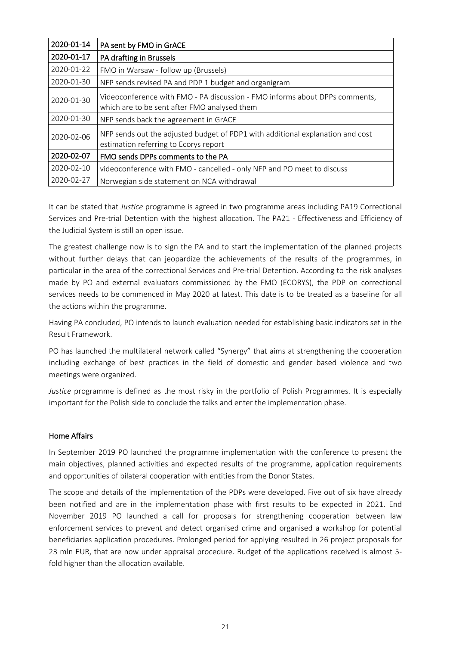| 2020-01-14 | PA sent by FMO in GrACE                                                                                                     |
|------------|-----------------------------------------------------------------------------------------------------------------------------|
| 2020-01-17 | PA drafting in Brussels                                                                                                     |
| 2020-01-22 | FMO in Warsaw - follow up (Brussels)                                                                                        |
| 2020-01-30 | NFP sends revised PA and PDP 1 budget and organigram                                                                        |
| 2020-01-30 | Videoconference with FMO - PA discussion - FMO informs about DPPs comments,<br>which are to be sent after FMO analysed them |
| 2020-01-30 | NFP sends back the agreement in GrACE                                                                                       |
| 2020-02-06 | NFP sends out the adjusted budget of PDP1 with additional explanation and cost<br>estimation referring to Ecorys report     |
| 2020-02-07 | FMO sends DPPs comments to the PA                                                                                           |
| 2020-02-10 | videoconference with FMO - cancelled - only NFP and PO meet to discuss                                                      |
| 2020-02-27 | Norwegian side statement on NCA withdrawal                                                                                  |

It can be stated that *Justice* programme is agreed in two programme areas including PA19 Correctional Services and Pre-trial Detention with the highest allocation. The PA21 - Effectiveness and Efficiency of the Judicial System is still an open issue.

The greatest challenge now is to sign the PA and to start the implementation of the planned projects without further delays that can jeopardize the achievements of the results of the programmes, in particular in the area of the correctional Services and Pre-trial Detention. According to the risk analyses made by PO and external evaluators commissioned by the FMO (ECORYS), the PDP on correctional services needs to be commenced in May 2020 at latest. This date is to be treated as a baseline for all the actions within the programme.

Having PA concluded, PO intends to launch evaluation needed for establishing basic indicators set in the Result Framework.

PO has launched the multilateral network called "Synergy" that aims at strengthening the cooperation including exchange of best practices in the field of domestic and gender based violence and two meetings were organized.

*Justice* programme is defined as the most risky in the portfolio of Polish Programmes. It is especially important for the Polish side to conclude the talks and enter the implementation phase.

## **Home Affairs**

In September 2019 PO launched the programme implementation with the conference to present the main objectives, planned activities and expected results of the programme, application requirements and opportunities of bilateral cooperation with entities from the Donor States.

The scope and details of the implementation of the PDPs were developed. Five out of six have already been notified and are in the implementation phase with first results to be expected in 2021. End November 2019 PO launched a call for proposals for strengthening cooperation between law enforcement services to prevent and detect organised crime and organised a workshop for potential beneficiaries application procedures. Prolonged period for applying resulted in 26 project proposals for 23 mln EUR, that are now under appraisal procedure. Budget of the applications received is almost 5 fold higher than the allocation available.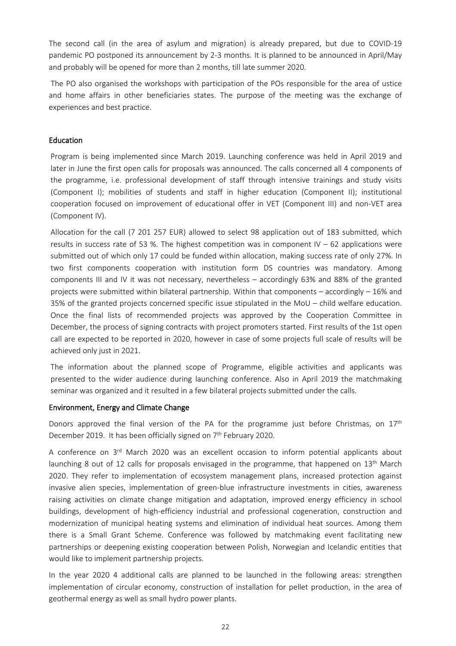The second call (in the area of asylum and migration) is already prepared, but due to COVID-19 pandemic PO postponed its announcement by 2-3 months. It is planned to be announced in April/May and probably will be opened for more than 2 months, till late summer 2020.

The PO also organised the workshops with participation of the POs responsible for the area of ustice and home affairs in other beneficiaries states. The purpose of the meeting was the exchange of experiences and best practice.

## **Education**

Program is being implemented since March 2019. Launching conference was held in April 2019 and later in June the first open calls for proposals was announced. The calls concerned all 4 components of the programme, i.e. professional development of staff through intensive trainings and study visits (Component I); mobilities of students and staff in higher education (Component II); institutional cooperation focused on improvement of educational offer in VET (Component III) and non-VET area (Component IV).

Allocation for the call (7 201 257 EUR) allowed to select 98 application out of 183 submitted, which results in success rate of 53 %. The highest competition was in component  $IV - 62$  applications were submitted out of which only 17 could be funded within allocation, making success rate of only 27%. In two first components cooperation with institution form DS countries was mandatory. Among components III and IV it was not necessary, nevertheless – accordingly 63% and 88% of the granted projects were submitted within bilateral partnership. Within that components – accordingly – 16% and 35% of the granted projects concerned specific issue stipulated in the MoU – child welfare education. Once the final lists of recommended projects was approved by the Cooperation Committee in December, the process of signing contracts with project promoters started. First results of the 1st open call are expected to be reported in 2020, however in case of some projects full scale of results will be achieved only just in 2021.

The information about the planned scope of Programme, eligible activities and applicants was presented to the wider audience during launching conference. Also in April 2019 the matchmaking seminar was organized and it resulted in a few bilateral projects submitted under the calls.

#### **Environment, Energy and Climate Change**

Donors approved the final version of the PA for the programme just before Christmas, on  $17<sup>th</sup>$ December 2019. It has been officially signed on 7<sup>th</sup> February 2020.

A conference on 3<sup>rd</sup> March 2020 was an excellent occasion to inform potential applicants about launching 8 out of 12 calls for proposals envisaged in the programme, that happened on 13<sup>th</sup> March 2020. They refer to implementation of ecosystem management plans, increased protection against invasive alien species, implementation of green-blue infrastructure investments in cities, awareness raising activities on climate change mitigation and adaptation, improved energy efficiency in school buildings, development of high-efficiency industrial and professional cogeneration, construction and modernization of municipal heating systems and elimination of individual heat sources. Among them there is a Small Grant Scheme. Conference was followed by matchmaking event facilitating new partnerships or deepening existing cooperation between Polish, Norwegian and Icelandic entities that would like to implement partnership projects.

In the year 2020 4 additional calls are planned to be launched in the following areas: strengthen implementation of circular economy, construction of installation for pellet production, in the area of geothermal energy as well as small hydro power plants.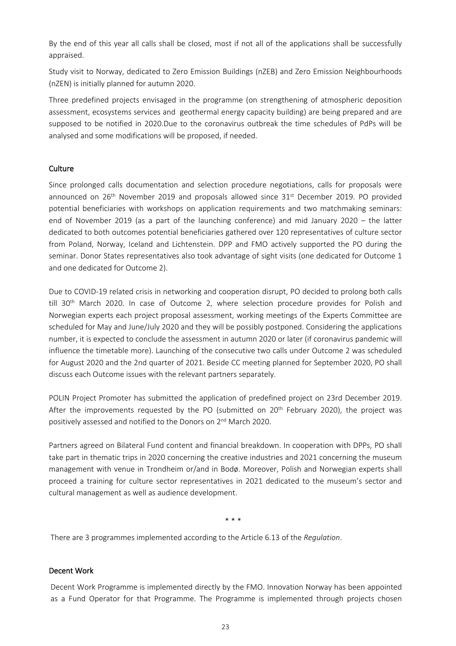By the end of this year all calls shall be closed, most if not all of the applications shall be successfully appraised.

Study visit to Norway, dedicated to Zero Emission Buildings (nZEB) and Zero Emission Neighbourhoods (nZEN) is initially planned for autumn 2020.

Three predefined projects envisaged in the programme (on strengthening of atmospheric deposition assessment, ecosystems services and geothermal energy capacity building) are being prepared and are supposed to be notified in 2020.Due to the coronavirus outbreak the time schedules of PdPs will be analysed and some modifications will be proposed, if needed.

## **Culture**

Since prolonged calls documentation and selection procedure negotiations, calls for proposals were announced on 26<sup>th</sup> November 2019 and proposals allowed since 31<sup>st</sup> December 2019. PO provided potential beneficiaries with workshops on application requirements and two matchmaking seminars: end of November 2019 (as a part of the launching conference) and mid January 2020 – the latter dedicated to both outcomes potential beneficiaries gathered over 120 representatives of culture sector from Poland, Norway, Iceland and Lichtenstein. DPP and FMO actively supported the PO during the seminar. Donor States representatives also took advantage of sight visits (one dedicated for Outcome 1 and one dedicated for Outcome 2).

Due to COVID-19 related crisis in networking and cooperation disrupt, PO decided to prolong both calls till  $30<sup>th</sup>$  March 2020. In case of Outcome 2, where selection procedure provides for Polish and Norwegian experts each project proposal assessment, working meetings of the Experts Committee are scheduled for May and June/July 2020 and they will be possibly postponed. Considering the applications number, it is expected to conclude the assessment in autumn 2020 or later (if coronavirus pandemic will influence the timetable more). Launching of the consecutive two calls under Outcome 2 was scheduled for August 2020 and the 2nd quarter of 2021. Beside CC meeting planned for September 2020, PO shall discuss each Outcome issues with the relevant partners separately.

POLIN Project Promoter has submitted the application of predefined project on 23rd December 2019. After the improvements requested by the PO (submitted on 20<sup>th</sup> February 2020), the project was positively assessed and notified to the Donors on 2<sup>nd</sup> March 2020.

Partners agreed on Bilateral Fund content and financial breakdown. In cooperation with DPPs, PO shall take part in thematic trips in 2020 concerning the creative industries and 2021 concerning the museum management with venue in Trondheim or/and in Bodø. Moreover, Polish and Norwegian experts shall proceed a training for culture sector representatives in 2021 dedicated to the museum's sector and cultural management as well as audience development.

\* \* \*

There are 3 programmes implemented according to the Article 6.13 of the *Regulation*.

#### **Decent Work**

Decent Work Programme is implemented directly by the FMO. Innovation Norway has been appointed as a Fund Operator for that Programme. The Programme is implemented through projects chosen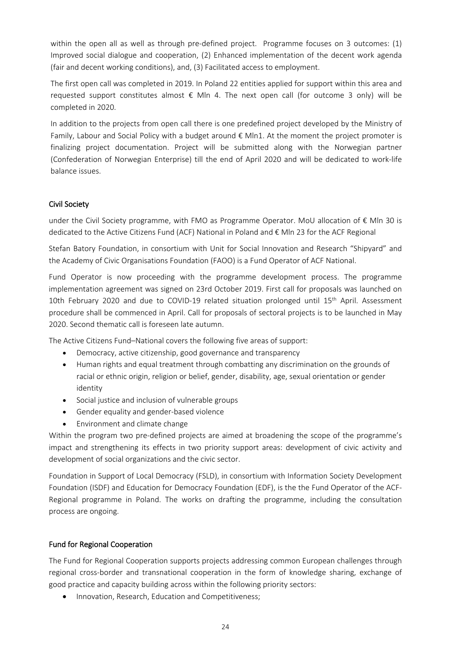within the open all as well as through pre-defined project. Programme focuses on 3 outcomes: (1) Improved social dialogue and cooperation, (2) Enhanced implementation of the decent work agenda (fair and decent working conditions), and, (3) Facilitated access to employment.

The first open call was completed in 2019. In Poland 22 entities applied for support within this area and requested support constitutes almost  $\epsilon$  Mln 4. The next open call (for outcome 3 only) will be completed in 2020.

In addition to the projects from open call there is one predefined project developed by the Ministry of Family, Labour and Social Policy with a budget around € Mln1. At the moment the project promoter is finalizing project documentation. Project will be submitted along with the Norwegian partner (Confederation of Norwegian Enterprise) till the end of April 2020 and will be dedicated to work-life balance issues.

## **Civil Society**

under the Civil Society programme, with FMO as Programme Operator. MoU allocation of € Mln 30 is dedicated to the Active Citizens Fund (ACF) National in Poland and € Mln 23 for the ACF Regional

Stefan Batory Foundation, in consortium with Unit for Social Innovation and Research "Shipyard" and the Academy of Civic Organisations Foundation (FAOO) is a Fund Operator of ACF National.

Fund Operator is now proceeding with the programme development process. The programme implementation agreement was signed on 23rd October 2019. First call for proposals was launched on 10th February 2020 and due to COVID-19 related situation prolonged until 15<sup>th</sup> April. Assessment procedure shall be commenced in April. Call for proposals of sectoral projects is to be launched in May 2020. Second thematic call is foreseen late autumn.

The Active Citizens Fund–National covers the following five areas of support:

- Democracy, active citizenship, good governance and transparency
- Human rights and equal treatment through combatting any discrimination on the grounds of racial or ethnic origin, religion or belief, gender, disability, age, sexual orientation or gender identity
- Social justice and inclusion of vulnerable groups
- Gender equality and gender-based violence
- Environment and climate change

Within the program two pre-defined projects are aimed at broadening the scope of the programme's impact and strengthening its effects in two priority support areas: development of civic activity and development of social organizations and the civic sector.

Foundation in Support of Local Democracy (FSLD), in consortium with Information Society Development Foundation (ISDF) and Education for Democracy Foundation (EDF), is the the Fund Operator of the ACF-Regional programme in Poland. The works on drafting the programme, including the consultation process are ongoing.

# **Fund for Regional Cooperation**

The Fund for Regional Cooperation supports projects addressing common European challenges through regional cross-border and transnational cooperation in the form of knowledge sharing, exchange of good practice and capacity building across within the following priority sectors:

• Innovation, Research, Education and Competitiveness;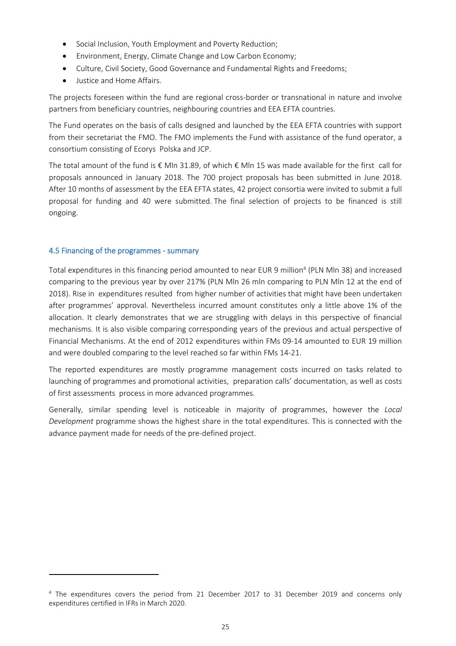- Social Inclusion, Youth Employment and Poverty Reduction;
- Environment, Energy, Climate Change and Low Carbon Economy;
- Culture, Civil Society, Good Governance and Fundamental Rights and Freedoms;
- Justice and Home Affairs.

The projects foreseen within the fund are regional cross-border or transnational in nature and involve partners from beneficiary countries, neighbouring countries and EEA EFTA countries.

The Fund operates on the basis of calls designed and launched by the EEA EFTA countries with support from their secretariat the FMO. The FMO implements the Fund with assistance of the fund operator, a consortium consisting of Ecorys Polska and JCP.

The total amount of the fund is  $\epsilon$  Mln 31.89, of which  $\epsilon$  Mln 15 was made available for the first call for proposals announced in January 2018. The 700 project proposals has been submitted in June 2018. After 10 months of assessment by the EEA EFTA states, 42 project consortia were invited to submit a full proposal for funding and 40 were submitted. The final selection of projects to be financed is still ongoing.

# **4.5 Financing of the programmes - summary**

Total expenditures in this financing period amounted to near EUR 9 million<sup>4</sup> (PLN Mln 38) and increased comparing to the previous year by over 217% (PLN Mln 26 mln comparing to PLN Mln 12 at the end of 2018). Rise in expenditures resulted from higher number of activities that might have been undertaken after programmes' approval. Nevertheless incurred amount constitutes only a little above 1% of the allocation. It clearly demonstrates that we are struggling with delays in this perspective of financial mechanisms. It is also visible comparing corresponding years of the previous and actual perspective of Financial Mechanisms. At the end of 2012 expenditures within FMs 09-14 amounted to EUR 19 million and were doubled comparing to the level reached so far within FMs 14-21.

The reported expenditures are mostly programme management costs incurred on tasks related to launching of programmes and promotional activities, preparation calls' documentation, as well as costs of first assessments process in more advanced programmes.

Generally, similar spending level is noticeable in majority of programmes, however the *Local Development* programme shows the highest share in the total expenditures. This is connected with the advance payment made for needs of the pre-defined project.

<sup>&</sup>lt;sup>4</sup> The expenditures covers the period from 21 December 2017 to 31 December 2019 and concerns only expenditures certified in IFRs in March 2020.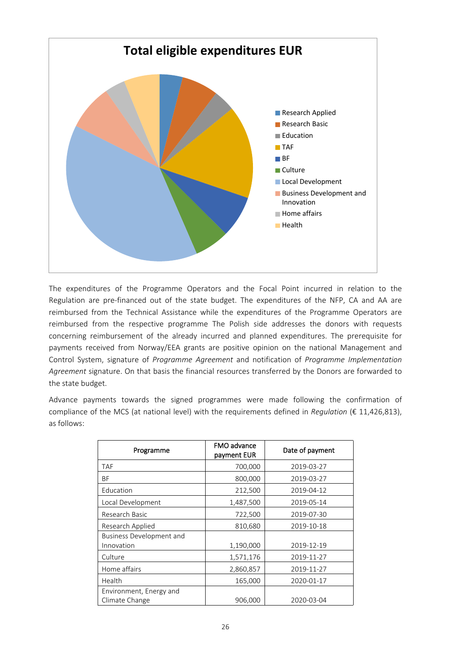

The expenditures of the Programme Operators and the Focal Point incurred in relation to the Regulation are pre-financed out of the state budget. The expenditures of the NFP, CA and AA are reimbursed from the Technical Assistance while the expenditures of the Programme Operators are reimbursed from the respective programme The Polish side addresses the donors with requests concerning reimbursement of the already incurred and planned expenditures. The prerequisite for payments received from Norway/EEA grants are positive opinion on the national Management and Control System, signature of *Programme Agreement* and notification of *Programme Implementation Agreement* signature. On that basis the financial resources transferred by the Donors are forwarded to the state budget.

Advance payments towards the signed programmes were made following the confirmation of compliance of the MCS (at national level) with the requirements defined in *Regulation* (€ 11,426,813), as follows:

| Programme                       | FMO advance<br>payment EUR | Date of payment |
|---------------------------------|----------------------------|-----------------|
| TAF                             | 700,000                    | 2019-03-27      |
| BF                              | 800,000                    | 2019-03-27      |
| Education                       | 212,500                    | 2019-04-12      |
| Local Development               | 1,487,500                  | 2019-05-14      |
| Research Basic                  | 722,500                    | 2019-07-30      |
| Research Applied                | 810,680                    | 2019-10-18      |
| <b>Business Development and</b> |                            |                 |
| Innovation                      | 1,190,000                  | 2019-12-19      |
| Culture                         | 1,571,176                  | 2019-11-27      |
| Home affairs                    | 2,860,857                  | 2019-11-27      |
| Health                          | 165,000                    | 2020-01-17      |
| Environment, Energy and         |                            |                 |
| Climate Change                  | 906,000                    | 2020-03-04      |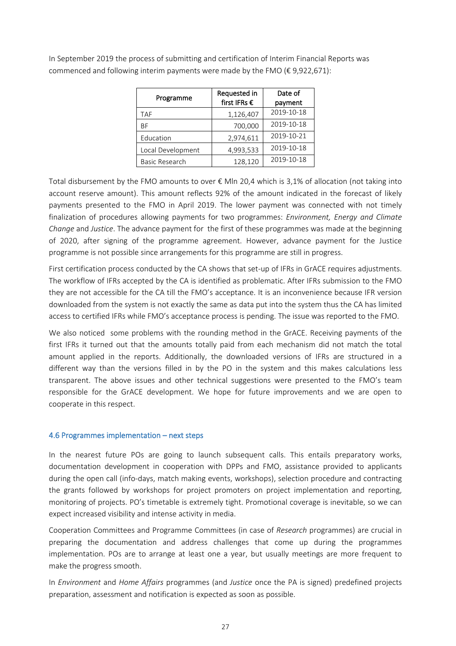| Programme             | Requested in | Date of    |  |
|-----------------------|--------------|------------|--|
|                       | first IFRs € | payment    |  |
| <b>TAF</b>            | 1,126,407    | 2019-10-18 |  |
| ВF                    | 700,000      | 2019-10-18 |  |
| Education             | 2,974,611    | 2019-10-21 |  |
| Local Development     | 4,993,533    | 2019-10-18 |  |
| <b>Basic Research</b> | 128,120      | 2019-10-18 |  |

In September 2019 the process of submitting and certification of Interim Financial Reports was commenced and following interim payments were made by the FMO (€ 9,922,671):

Total disbursement by the FMO amounts to over € Mln 20,4 which is 3,1% of allocation (not taking into account reserve amount). This amount reflects 92% of the amount indicated in the forecast of likely payments presented to the FMO in April 2019. The lower payment was connected with not timely finalization of procedures allowing payments for two programmes: *Environment, Energy and Climate Change* and *Justice*. The advance payment for the first of these programmes was made at the beginning of 2020, after signing of the programme agreement. However, advance payment for the Justice programme is not possible since arrangements for this programme are still in progress.

First certification process conducted by the CA shows that set-up of IFRs in GrACE requires adjustments. The workflow of IFRs accepted by the CA is identified as problematic. After IFRs submission to the FMO they are not accessible for the CA till the FMO's acceptance. It is an inconvenience because IFR version downloaded from the system is not exactly the same as data put into the system thus the CA has limited access to certified IFRs while FMO's acceptance process is pending. The issue was reported to the FMO.

We also noticed some problems with the rounding method in the GrACE. Receiving payments of the first IFRs it turned out that the amounts totally paid from each mechanism did not match the total amount applied in the reports. Additionally, the downloaded versions of IFRs are structured in a different way than the versions filled in by the PO in the system and this makes calculations less transparent. The above issues and other technical suggestions were presented to the FMO's team responsible for the GrACE development. We hope for future improvements and we are open to cooperate in this respect.

#### **4.6 Programmes implementation – next steps**

In the nearest future POs are going to launch subsequent calls. This entails preparatory works, documentation development in cooperation with DPPs and FMO, assistance provided to applicants during the open call (info-days, match making events, workshops), selection procedure and contracting the grants followed by workshops for project promoters on project implementation and reporting, monitoring of projects. PO's timetable is extremely tight. Promotional coverage is inevitable, so we can expect increased visibility and intense activity in media.

Cooperation Committees and Programme Committees (in case of *Research* programmes) are crucial in preparing the documentation and address challenges that come up during the programmes implementation. POs are to arrange at least one a year, but usually meetings are more frequent to make the progress smooth.

In *Environment* and *Home Affairs* programmes (and *Justice* once the PA is signed) predefined projects preparation, assessment and notification is expected as soon as possible.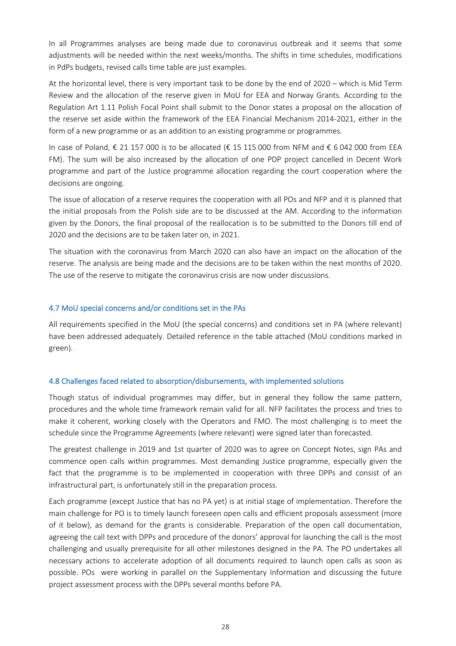In all Programmes analyses are being made due to coronavirus outbreak and it seems that some adjustments will be needed within the next weeks/months. The shifts in time schedules, modifications in PdPs budgets, revised calls time table are just examples.

At the horizontal level, there is very important task to be done by the end of 2020 – which is Mid Term Review and the allocation of the reserve given in MoU for EEA and Norway Grants. According to the Regulation Art 1.11 Polish Focal Point shall submit to the Donor states a proposal on the allocation of the reserve set aside within the framework of the EEA Financial Mechanism 2014-2021, either in the form of a new programme or as an addition to an existing programme or programmes.

In case of Poland, € 21 157 000 is to be allocated (€ 15 115 000 from NFM and € 6 042 000 from EEA FM). The sum will be also increased by the allocation of one PDP project cancelled in Decent Work programme and part of the Justice programme allocation regarding the court cooperation where the decisions are ongoing.

The issue of allocation of a reserve requires the cooperation with all POs and NFP and it is planned that the initial proposals from the Polish side are to be discussed at the AM. According to the information given by the Donors, the final proposal of the reallocation is to be submitted to the Donors till end of 2020 and the decisions are to be taken later on, in 2021.

The situation with the coronavirus from March 2020 can also have an impact on the allocation of the reserve. The analysis are being made and the decisions are to be taken within the next months of 2020. The use of the reserve to mitigate the coronavirus crisis are now under discussions.

## **4.7 MoU special concerns and/or conditions set in the PAs**

All requirements specified in the MoU (the special concerns) and conditions set in PA (where relevant) have been addressed adequately. Detailed reference in the table attached (MoU conditions marked in green).

#### **4.8 Challenges faced related to absorption/disbursements, with implemented solutions**

Though status of individual programmes may differ, but in general they follow the same pattern, procedures and the whole time framework remain valid for all. NFP facilitates the process and tries to make it coherent, working closely with the Operators and FMO. The most challenging is to meet the schedule since the Programme Agreements (where relevant) were signed later than forecasted.

The greatest challenge in 2019 and 1st quarter of 2020 was to agree on Concept Notes, sign PAs and commence open calls within programmes. Most demanding Justice programme, especially given the fact that the programme is to be implemented in cooperation with three DPPs and consist of an infrastructural part, is unfortunately still in the preparation process.

Each programme (except Justice that has no PA yet) is at initial stage of implementation. Therefore the main challenge for PO is to timely launch foreseen open calls and efficient proposals assessment (more of it below), as demand for the grants is considerable. Preparation of the open call documentation, agreeing the call text with DPPs and procedure of the donors' approval for launching the call is the most challenging and usually prerequisite for all other milestones designed in the PA. The PO undertakes all necessary actions to accelerate adoption of all documents required to launch open calls as soon as possible. POs were working in parallel on the Supplementary Information and discussing the future project assessment process with the DPPs several months before PA.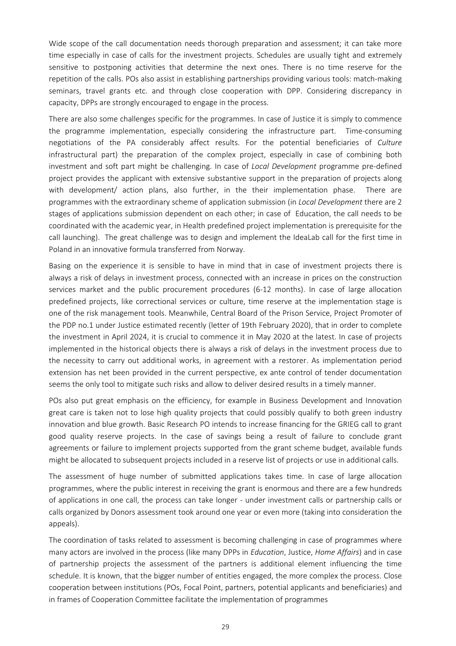Wide scope of the call documentation needs thorough preparation and assessment; it can take more time especially in case of calls for the investment projects. Schedules are usually tight and extremely sensitive to postponing activities that determine the next ones. There is no time reserve for the repetition of the calls. POs also assist in establishing partnerships providing various tools: match-making seminars, travel grants etc. and through close cooperation with DPP. Considering discrepancy in capacity, DPPs are strongly encouraged to engage in the process.

There are also some challenges specific for the programmes. In case of Justice it is simply to commence the programme implementation, especially considering the infrastructure part. Time-consuming negotiations of the PA considerably affect results. For the potential beneficiaries of *Culture* infrastructural part) the preparation of the complex project, especially in case of combining both investment and soft part might be challenging. In case of *Local Development* programme pre-defined project provides the applicant with extensive substantive support in the preparation of projects along with development/ action plans, also further, in the their implementation phase. There are programmes with the extraordinary scheme of application submission (in *Local Development* there are 2 stages of applications submission dependent on each other; in case of Education, the call needs to be coordinated with the academic year, in Health predefined project implementation is prerequisite for the call launching). The great challenge was to design and implement the IdeaLab call for the first time in Poland in an innovative formula transferred from Norway.

Basing on the experience it is sensible to have in mind that in case of investment projects there is always a risk of delays in investment process, connected with an increase in prices on the construction services market and the public procurement procedures (6-12 months). In case of large allocation predefined projects, like correctional services or culture, time reserve at the implementation stage is one of the risk management tools. Meanwhile, Central Board of the Prison Service, Project Promoter of the PDP no.1 under Justice estimated recently (letter of 19th February 2020), that in order to complete the investment in April 2024, it is crucial to commence it in May 2020 at the latest. In case of projects implemented in the historical objects there is always a risk of delays in the investment process due to the necessity to carry out additional works, in agreement with a restorer. As implementation period extension has net been provided in the current perspective, ex ante control of tender documentation seems the only tool to mitigate such risks and allow to deliver desired results in a timely manner.

POs also put great emphasis on the efficiency, for example in Business Development and Innovation great care is taken not to lose high quality projects that could possibly qualify to both green industry innovation and blue growth. Basic Research PO intends to increase financing for the GRIEG call to grant good quality reserve projects. In the case of savings being a result of failure to conclude grant agreements or failure to implement projects supported from the grant scheme budget, available funds might be allocated to subsequent projects included in a reserve list of projects or use in additional calls.

The assessment of huge number of submitted applications takes time. In case of large allocation programmes, where the public interest in receiving the grant is enormous and there are a few hundreds of applications in one call, the process can take longer - under investment calls or partnership calls or calls organized by Donors assessment took around one year or even more (taking into consideration the appeals).

The coordination of tasks related to assessment is becoming challenging in case of programmes where many actors are involved in the process (like many DPPs in *Education*, Justice, *Home Affairs*) and in case of partnership projects the assessment of the partners is additional element influencing the time schedule. It is known, that the bigger number of entities engaged, the more complex the process. Close cooperation between institutions (POs, Focal Point, partners, potential applicants and beneficiaries) and in frames of Cooperation Committee facilitate the implementation of programmes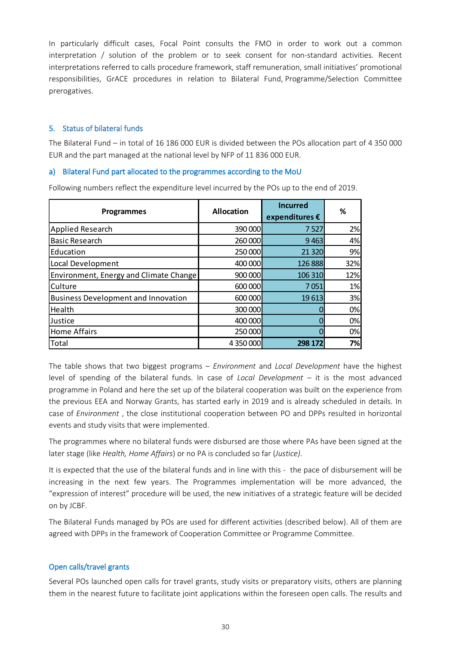In particularly difficult cases, Focal Point consults the FMO in order to work out a common interpretation / solution of the problem or to seek consent for non-standard activities. Recent interpretations referred to calls procedure framework, staff remuneration, small initiatives' promotional responsibilities, GrACE procedures in relation to Bilateral Fund, Programme/Selection Committee prerogatives.

#### **5. Status of bilateral funds**

The Bilateral Fund – in total of 16 186 000 EUR is divided between the POs allocation part of 4 350 000 EUR and the part managed at the national level by NFP of 11 836 000 EUR.

## **a) Bilateral Fund part allocated to the programmes according to the MoU**

| <b>Programmes</b>                          | <b>Allocation</b> | <b>Incurred</b><br>expenditures $\epsilon$ | ℅   |
|--------------------------------------------|-------------------|--------------------------------------------|-----|
| Applied Research                           | 390 000           | 7527                                       | 2%  |
| <b>Basic Research</b>                      | 260 000           | 9463                                       | 4%  |
| Education                                  | 250 000           | 21 3 20                                    | 9%  |
| Local Development                          | 400 000           | 126 888                                    | 32% |
| Environment, Energy and Climate Change     | 900 000           | 106 310                                    | 12% |
| Culture                                    | 600 000           | 7051                                       | 1%  |
| <b>Business Development and Innovation</b> | 600 000           | 19613                                      | 3%  |
| Health                                     | 300 000           |                                            | 0%  |
| Justice                                    | 400 000           |                                            | 0%  |
| <b>Home Affairs</b>                        | 250 000           |                                            | 0%  |
| Total                                      | 4 350 000         | 298 172                                    | 7%  |

Following numbers reflect the expenditure level incurred by the POs up to the end of 2019.

The table shows that two biggest programs – *Environment* and *Local Development* have the highest level of spending of the bilateral funds. In case of *Local Development* – it is the most advanced programme in Poland and here the set up of the bilateral cooperation was built on the experience from the previous EEA and Norway Grants, has started early in 2019 and is already scheduled in details. In case of *Environment* , the close institutional cooperation between PO and DPPs resulted in horizontal events and study visits that were implemented.

The programmes where no bilateral funds were disbursed are those where PAs have been signed at the later stage (like *Health, Home Affairs*) or no PA is concluded so far (*Justice)*.

It is expected that the use of the bilateral funds and in line with this - the pace of disbursement will be increasing in the next few years. The Programmes implementation will be more advanced, the "expression of interest" procedure will be used, the new initiatives of a strategic feature will be decided on by JCBF.

The Bilateral Funds managed by POs are used for different activities (described below). All of them are agreed with DPPs in the framework of Cooperation Committee or Programme Committee.

## **Open calls/travel grants**

Several POs launched open calls for travel grants, study visits or preparatory visits, others are planning them in the nearest future to facilitate joint applications within the foreseen open calls. The results and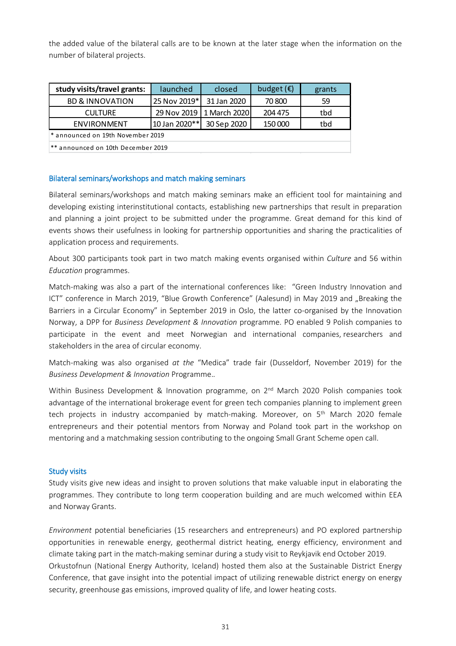the added value of the bilateral calls are to be known at the later stage when the information on the number of bilateral projects.

| study visits/travel grants:        | launched       | closed                     | budget $(\epsilon)$ | grants |  |
|------------------------------------|----------------|----------------------------|---------------------|--------|--|
| <b>BD &amp; INNOVATION</b>         | 25 Nov 2019*   | 31 Jan 2020                | 70 800              | 59     |  |
| <b>CULTURE</b>                     |                | 29 Nov 2019   1 March 2020 | 204 475             | tbd    |  |
| ENVIRONMENT                        | 10 Jan 2020 ** | 30 Sep 2020                | 150 000             | tbd    |  |
| * announced on 19th November 2019  |                |                            |                     |        |  |
| ** announced on 10th December 2019 |                |                            |                     |        |  |

#### **Bilateral seminars/workshops and match making seminars**

Bilateral seminars/workshops and match making seminars make an efficient tool for maintaining and developing existing interinstitutional contacts, establishing new partnerships that result in preparation and planning a joint project to be submitted under the programme. Great demand for this kind of events shows their usefulness in looking for partnership opportunities and sharing the practicalities of application process and requirements.

About 300 participants took part in two match making events organised within *Culture* and 56 within *Education* programmes.

Match-making was also a part of the international conferences like: "Green Industry Innovation and ICT" conference in March 2019, "Blue Growth Conference" (Aalesund) in May 2019 and "Breaking the Barriers in a Circular Economy" in September 2019 in Oslo, the latter co-organised by the Innovation Norway, a DPP for *Business Development & Innovation* programme. PO enabled 9 Polish companies to participate in the event and meet Norwegian and international companies, researchers and stakeholders in the area of circular economy.

Match-making was also organised *at the* "Medica" trade fair (Dusseldorf, November 2019) for the *Business Development & Innovation* Programme.*.*

Within Business Development & Innovation programme, on 2<sup>nd</sup> March 2020 Polish companies took advantage of the international brokerage event for green tech companies planning to implement green tech projects in industry accompanied by match-making. Moreover, on 5<sup>th</sup> March 2020 female entrepreneurs and their potential mentors from Norway and Poland took part in the workshop on mentoring and a matchmaking session contributing to the ongoing Small Grant Scheme open call.

#### **Study visits**

Study visits give new ideas and insight to proven solutions that make valuable input in elaborating the programmes. They contribute to long term cooperation building and are much welcomed within EEA and Norway Grants.

*Environment* potential beneficiaries (15 researchers and entrepreneurs) and PO explored partnership opportunities in renewable energy, geothermal district heating, energy efficiency, environment and climate taking part in the match-making seminar during a study visit to Reykjavik end October 2019. Orkustofnun (National Energy Authority, Iceland) hosted them also at the Sustainable District Energy Conference, that gave insight into the potential impact of utilizing renewable district energy on energy security, greenhouse gas emissions, improved quality of life, and lower heating costs.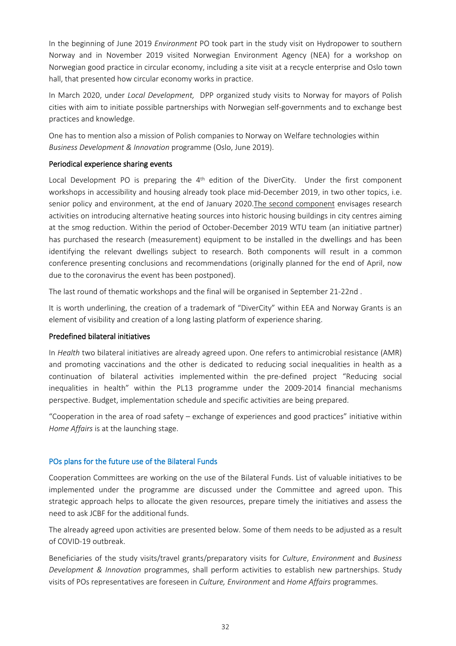In the beginning of June 2019 *Environment* PO took part in the study visit on Hydropower to southern Norway and in November 2019 visited Norwegian Environment Agency (NEA) for a workshop on Norwegian good practice in circular economy, including a site visit at a recycle enterprise and Oslo town hall, that presented how circular economy works in practice.

In March 2020, under *Local Development,* DPP organized study visits to Norway for mayors of Polish cities with aim to initiate possible partnerships with Norwegian self-governments and to exchange best practices and knowledge.

One has to mention also a mission of Polish companies to Norway on Welfare technologies within *Business Development & Innovation* programme (Oslo, June 2019).

## **Periodical experience sharing events**

Local Development PO is preparing the 4<sup>th</sup> edition of the DiverCity. Under the first component workshops in accessibility and housing already took place mid-December 2019, in two other topics, i.e. senior policy and environment, at the end of January 2020.The second component envisages research activities on introducing alternative heating sources into historic housing buildings in city centres aiming at the smog reduction. Within the period of October-December 2019 WTU team (an initiative partner) has purchased the research (measurement) equipment to be installed in the dwellings and has been identifying the relevant dwellings subject to research. Both components will result in a common conference presenting conclusions and recommendations (originally planned for the end of April, now due to the coronavirus the event has been postponed).

The last round of thematic workshops and the final will be organised in September 21-22nd .

It is worth underlining, the creation of a trademark of "DiverCity" within EEA and Norway Grants is an element of visibility and creation of a long lasting platform of experience sharing.

#### **Predefined bilateral initiatives**

In *Health* two bilateral initiatives are already agreed upon. One refers to antimicrobial resistance (AMR) and promoting vaccinations and the other is dedicated to reducing social inequalities in health as a continuation of bilateral activities implemented within the pre-defined project "Reducing social inequalities in health" within the PL13 programme under the 2009-2014 financial mechanisms perspective. Budget, implementation schedule and specific activities are being prepared.

"Cooperation in the area of road safety – exchange of experiences and good practices" initiative within *Home Affairs* is at the launching stage.

## **POs plans for the future use of the Bilateral Funds**

Cooperation Committees are working on the use of the Bilateral Funds. List of valuable initiatives to be implemented under the programme are discussed under the Committee and agreed upon. This strategic approach helps to allocate the given resources, prepare timely the initiatives and assess the need to ask JCBF for the additional funds.

The already agreed upon activities are presented below. Some of them needs to be adjusted as a result of COVID-19 outbreak.

Beneficiaries of the study visits/travel grants/preparatory visits for *Culture*, *Environment* and *Business Development & Innovation* programmes, shall perform activities to establish new partnerships. Study visits of POs representatives are foreseen in *Culture, Environment* and *Home Affairs* programmes.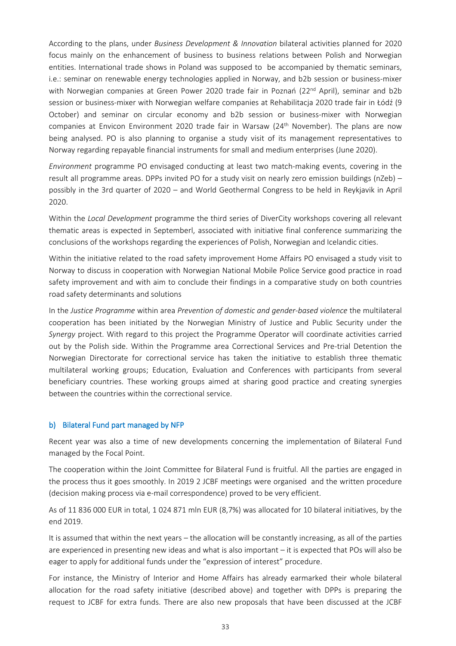According to the plans, under *Business Development & Innovation* bilateral activities planned for 2020 focus mainly on the enhancement of business to business relations between Polish and Norwegian entities. International trade shows in Poland was supposed to be accompanied by thematic seminars, i.e.: seminar on renewable energy technologies applied in Norway, and b2b session or business-mixer with Norwegian companies at Green Power 2020 trade fair in Poznań (22<sup>nd</sup> April), seminar and b2b session or business-mixer with Norwegian welfare companies at Rehabilitacja 2020 trade fair in Łódź (9 October) and seminar on circular economy and b2b session or business-mixer with Norwegian companies at Envicon Environment 2020 trade fair in Warsaw (24<sup>th</sup> November). The plans are now being analysed. PO is also planning to organise a study visit of its management representatives to Norway regarding repayable financial instruments for small and medium enterprises (June 2020).

*Environment* programme PO envisaged conducting at least two match-making events, covering in the result all programme areas. DPPs invited PO for a study visit on nearly zero emission buildings (nZeb) – possibly in the 3rd quarter of 2020 – and World Geothermal Congress to be held in Reykjavik in April 2020.

Within the *Local Development* programme the third series of DiverCity workshops covering all relevant thematic areas is expected in Septemberl, associated with initiative final conference summarizing the conclusions of the workshops regarding the experiences of Polish, Norwegian and Icelandic cities.

Within the initiative related to the road safety improvement Home Affairs PO envisaged a study visit to Norway to discuss in cooperation with Norwegian National Mobile Police Service good practice in road safety improvement and with aim to conclude their findings in a comparative study on both countries road safety determinants and solutions

In the *Justice Programme* within area *Prevention of domestic and gender-based violence* the multilateral cooperation has been initiated by the Norwegian Ministry of Justice and Public Security under the *Synergy* project. With regard to this project the Programme Operator will coordinate activities carried out by the Polish side. Within the Programme area Correctional Services and Pre-trial Detention the Norwegian Directorate for correctional service has taken the initiative to establish three thematic multilateral working groups; Education, Evaluation and Conferences with participants from several beneficiary countries. These working groups aimed at sharing good practice and creating synergies between the countries within the correctional service.

#### **b) Bilateral Fund part managed by NFP**

Recent year was also a time of new developments concerning the implementation of Bilateral Fund managed by the Focal Point.

The cooperation within the Joint Committee for Bilateral Fund is fruitful. All the parties are engaged in the process thus it goes smoothly. In 2019 2 JCBF meetings were organised and the written procedure (decision making process via e-mail correspondence) proved to be very efficient.

As of 11 836 000 EUR in total, 1 024 871 mln EUR (8,7%) was allocated for 10 bilateral initiatives, by the end 2019.

It is assumed that within the next years – the allocation will be constantly increasing, as all of the parties are experienced in presenting new ideas and what is also important – it is expected that POs will also be eager to apply for additional funds under the "expression of interest" procedure.

For instance, the Ministry of Interior and Home Affairs has already earmarked their whole bilateral allocation for the road safety initiative (described above) and together with DPPs is preparing the request to JCBF for extra funds. There are also new proposals that have been discussed at the JCBF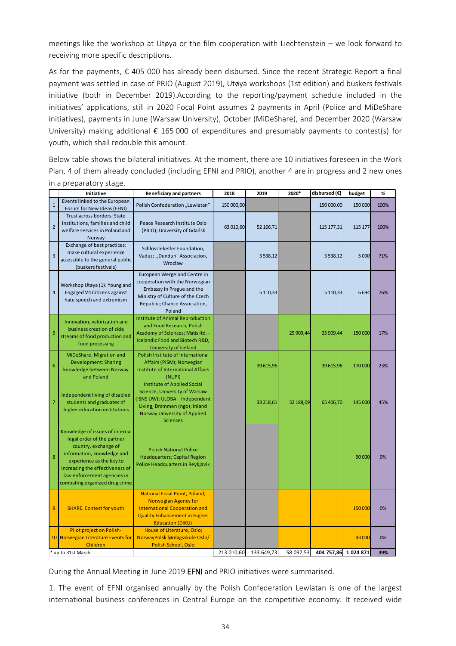meetings like the workshop at Utøya or the film cooperation with Liechtenstein – we look forward to receiving more specific descriptions.

As for the payments, € 405 000 has already been disbursed. Since the recent Strategic Report a final payment was settled in case of PRIO (August 2019), Utøya workshops (1st edition) and buskers festivals initiative (both in December 2019).According to the reporting/payment schedule included in the initiatives' applications, still in 2020 Focal Point assumes 2 payments in April (Police and MiDeShare initiatives), payments in June (Warsaw University), October (MiDeShare), and December 2020 (Warsaw University) making additional  $\epsilon$  165 000 of expenditures and presumably payments to contest(s) for youth, which shall redouble this amount.

Below table shows the bilateral initiatives. At the moment, there are 10 initiatives foreseen in the Work Plan, 4 of them already concluded (including EFNI and PRIO), another 4 are in progress and 2 new ones in a preparatory stage.

|                 | Initiative                                                                                                                                                                                                                                          | <b>Beneficiary and partners</b>                                                                                                                                                    | 2018       | 2019         | 2020*     | disbursed (€)        | budget  | %    |
|-----------------|-----------------------------------------------------------------------------------------------------------------------------------------------------------------------------------------------------------------------------------------------------|------------------------------------------------------------------------------------------------------------------------------------------------------------------------------------|------------|--------------|-----------|----------------------|---------|------|
| $\mathbf{1}$    | Events linked to the European<br>Forum for New Ideas (EFNI)                                                                                                                                                                                         | Polish Confederation "Lewiatan"                                                                                                                                                    | 150 000,00 |              |           | 150 000,00           | 150 000 | 100% |
| $\overline{2}$  | Trust across borders: State<br>institutions, families and child<br>welfare services in Poland and<br>Norway                                                                                                                                         | Peace Research Institute Oslo<br>(PRIO); University of Gdańsk                                                                                                                      | 63 010,60  | 52 166,71    |           | 115 177,31           | 115 177 | 100% |
| $\overline{3}$  | Exchange of best practices:<br>make cultural experience<br>accessible to the general public<br>(buskers festivals)                                                                                                                                  | Schlösslekeller Foundation,<br>Vaduz; "Dundun" Associacion,<br>Wrocław                                                                                                             |            | 3538,12      |           | 3 5 38, 12           | 5 000   | 71%  |
| $\overline{4}$  | Workshop Utøya (1): Young and<br>Engaged V4 Citizens against<br>hate speech and extremism                                                                                                                                                           | European Wergeland Centre in<br>cooperation with the Norwegian<br>Embassy in Prague and the<br>Ministry of Culture of the Czech<br>Republic; Chance Association,<br>Poland         |            | 5 1 1 0, 3 3 |           | 5 110,33             | 6694    | 76%  |
| 5               | Innovation, valorization and<br>business creation of side<br>streams of food production and<br>food processing                                                                                                                                      | Institute of Animal Reproduction<br>and Food Research, Polish<br>Academy of Sciences; Matís Itd. -<br>Icelandic Food and Biotech R&D,<br>University of Iceland                     |            |              | 25 909,44 | 25 909,44            | 150 000 | 17%  |
| $6\phantom{1}6$ | MiDeShare. Migration and<br><b>Development: Sharing</b><br>knowledge between Norway<br>and Poland                                                                                                                                                   | Polish Institute of International<br>Affairs (PISM); Norwegian<br>Institute of International Affairs<br>(NUPI)                                                                     |            | 39 615,96    |           | 39 615,96            | 170 000 | 23%  |
| $\overline{7}$  | Independent living of disabled<br>students and graduates of<br>higher education institutions                                                                                                                                                        | Institute of Applied Social<br>Science, University of Warsaw<br>(ISNS UW); ULOBA - Independent<br>Living, Drammen (ngo); Inland<br>Norway University of Applied<br><b>Sciences</b> |            | 33 218,61    | 32 188,09 | 65 406,70            | 145 000 | 45%  |
| 8               | Knowledge of issues of internal<br>legal order of the partner<br>country, exchange of<br>information, knowledge and<br>experience as the key to<br>increasing the effectiveness of<br>law enforcement agencies in<br>combating organized drug crime | <b>Polish National Police</b><br><b>Headquarters; Capital Region</b><br>Police Headquarters in Reykjavik                                                                           |            |              |           |                      | 90 000  | 0%   |
| 9               | <b>SHARE. Contest for youth</b>                                                                                                                                                                                                                     | <b>National Focal Point, Poland;</b><br>Norwegian Agency for<br><b>International Cooperation and</b><br><b>Quality Enhancement in Higher</b><br><b>Education (DIKU)</b>            |            |              |           |                      | 150 000 | 0%   |
|                 | Pilot project on Polish-<br>10 Norwegian Literature Events for<br>Children                                                                                                                                                                          | House of Literature, Oslo;<br>NorwayPolsk lørdagsskole Oslo/<br>Polish School, Oslo                                                                                                |            |              |           |                      | 43 000  | 0%   |
|                 | * up to 31st March                                                                                                                                                                                                                                  |                                                                                                                                                                                    | 213 010,60 | 133 649,73   | 58 097,53 | 404 757,86 1 024 871 |         | 39%  |

During the Annual Meeting in June 2019 **EFNI** and PRIO initiatives were summarised.

1. The event of EFNI organised annually by the Polish Confederation Lewiatan is one of the largest international business conferences in Central Europe on the competitive economy. It received wide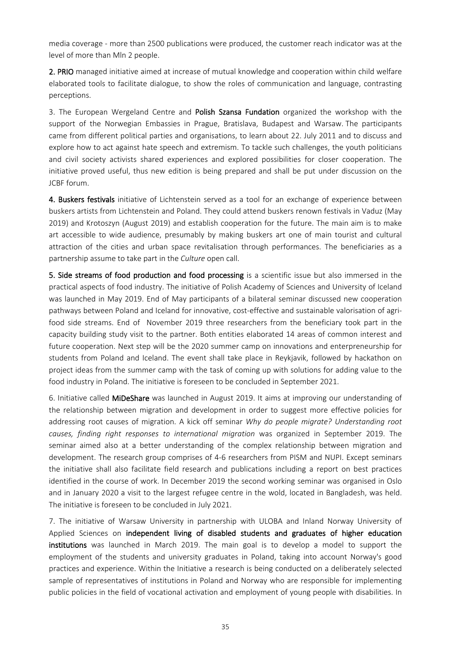media coverage - more than 2500 publications were produced, the customer reach indicator was at the level of more than Mln 2 people.

**2. PRIO** managed initiative aimed at increase of mutual knowledge and cooperation within child welfare elaborated tools to facilitate dialogue, to show the roles of communication and language, contrasting perceptions.

3. The European Wergeland Centre and **Polish Szansa Fundation** organized the workshop with the support of the Norwegian Embassies in Prague, Bratislava, Budapest and Warsaw. The participants came from different political parties and organisations, to learn about 22. July 2011 and to discuss and explore how to act against hate speech and extremism. To tackle such challenges, the youth politicians and civil society activists shared experiences and explored possibilities for closer cooperation. The initiative proved useful, thus new edition is being prepared and shall be put under discussion on the JCBF forum.

**4. Buskers festivals** initiative of Lichtenstein served as a tool for an exchange of experience between buskers artists from Lichtenstein and Poland. They could attend buskers renown festivals in Vaduz (May 2019) and Krotoszyn (August 2019) and establish cooperation for the future. The main aim is to make art accessible to wide audience, presumably by making buskers art one of main tourist and cultural attraction of the cities and urban space revitalisation through performances. The beneficiaries as a partnership assume to take part in the *Culture* open call.

**5. Side streams of food production and food processing** is ascientific issue but also immersed in the practical aspects of food industry. The initiative of Polish Academy of Sciences and University of Iceland was launched in May 2019. End of May participants of a bilateral seminar discussed new cooperation pathways between Poland and Iceland for innovative, cost-effective and sustainable valorisation of agrifood side streams. End of November 2019 three researchers from the beneficiary took part in the capacity building study visit to the partner. Both entities elaborated 14 areas of common interest and future cooperation. Next step will be the 2020 summer camp on innovations and enterpreneurship for students from Poland and Iceland. The event shall take place in Reykjavik, followed by hackathon on project ideas from the summer camp with the task of coming up with solutions for adding value to the food industry in Poland. The initiative is foreseen to be concluded in September 2021.

6. Initiative called **MiDeShare** was launched in August 2019. It aims at improving our understanding of the relationship between migration and development in order to suggest more effective policies for addressing root causes of migration. A kick off seminar *Why do people migrate? Understanding root causes, finding right responses to international migration* was organized in September 2019. The seminar aimed also at a better understanding of the complex relationship between migration and development. The research group comprises of 4-6 researchers from PISM and NUPI. Except seminars the initiative shall also facilitate field research and publications including a report on best practices identified in the course of work. In December 2019 the second working seminar was organised in Oslo and in January 2020 a visit to the largest refugee centre in the wold, located in Bangladesh, was held. The initiative is foreseen to be concluded in July 2021.

7. The initiative of Warsaw University in partnership with ULOBA and Inland Norway University of Applied Sciences on **independent living of disabled students and graduates of higher education institutions** was launched in March 2019. The main goal is to develop a model to support the employment of the students and university graduates in Poland, taking into account Norway's good practices and experience. Within the Initiative a research is being conducted on a deliberately selected sample of representatives of institutions in Poland and Norway who are responsible for implementing public policies in the field of vocational activation and employment of young people with disabilities. In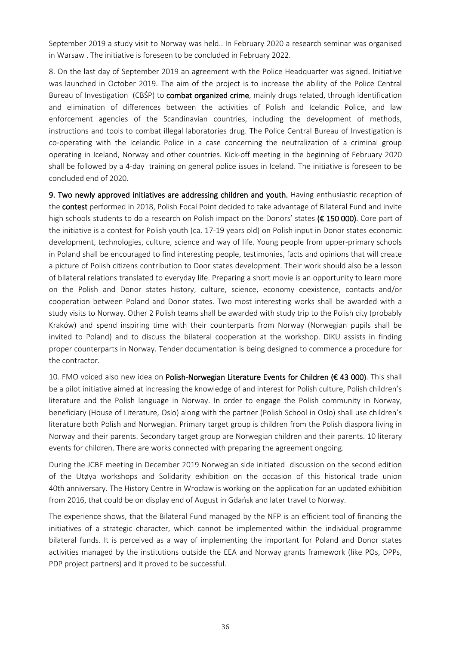September 2019 a study visit to Norway was held.. In February 2020 a research seminar was organised in Warsaw . The initiative is foreseen to be concluded in February 2022.

8. On the last day of September 2019 an agreement with the Police Headquarter was signed. Initiative was launched in October 2019. The aim of the project is to increase the ability of the Police Central Bureau of Investigation (CBŚP) to **combat organized crime**, mainly drugs related, through identification and elimination of differences between the activities of Polish and Icelandic Police, and law enforcement agencies of the Scandinavian countries, including the development of methods, instructions and tools to combat illegal laboratories drug. The Police Central Bureau of Investigation is co-operating with the Icelandic Police in a case concerning the neutralization of a criminal group operating in Iceland, Norway and other countries. Kick-off meeting in the beginning of February 2020 shall be followed by a 4-day training on general police issues in Iceland. The initiative is foreseen to be concluded end of 2020.

**9. Two newly approved initiatives are addressing children and youth.** Having enthusiastic reception of the **contest** performed in 2018, Polish Focal Point decided to take advantage of Bilateral Fund and invite high schools students to do a research on Polish impact on the Donors' states **(€ 150 000)**. Core part of the initiative is a contest for Polish youth (ca. 17-19 years old) on Polish input in Donor states economic development, technologies, culture, science and way of life. Young people from upper-primary schools in Poland shall be encouraged to find interesting people, testimonies, facts and opinions that will create a picture of Polish citizens contribution to Door states development. Their work should also be a lesson of bilateral relations translated to everyday life. Preparing a short movie is an opportunity to learn more on the Polish and Donor states history, culture, science, economy coexistence, contacts and/or cooperation between Poland and Donor states. Two most interesting works shall be awarded with a study visits to Norway. Other 2 Polish teams shall be awarded with study trip to the Polish city (probably Kraków) and spend inspiring time with their counterparts from Norway (Norwegian pupils shall be invited to Poland) and to discuss the bilateral cooperation at the workshop. DIKU assists in finding proper counterparts in Norway. Tender documentation is being designed to commence a procedure for the contractor.

10. FMO voiced also new idea on **Polish-Norwegian Literature Events for Children (€ 43 000)**. This shall be a pilot initiative aimed at increasing the knowledge of and interest for Polish culture, Polish children's literature and the Polish language in Norway. In order to engage the Polish community in Norway, beneficiary (House of Literature, Oslo) along with the partner (Polish School in Oslo) shall use children's literature both Polish and Norwegian. Primary target group is children from the Polish diaspora living in Norway and their parents. Secondary target group are Norwegian children and their parents. 10 literary events for children. There are works connected with preparing the agreement ongoing.

During the JCBF meeting in December 2019 Norwegian side initiated discussion on the second edition of the Utøya workshops and Solidarity exhibition on the occasion of this historical trade union 40th anniversary. The History Centre in Wrocław is working on the application for an updated exhibition from 2016, that could be on display end of August in Gdańsk and later travel to Norway.

The experience shows, that the Bilateral Fund managed by the NFP is an efficient tool of financing the initiatives of a strategic character, which cannot be implemented within the individual programme bilateral funds. It is perceived as a way of implementing the important for Poland and Donor states activities managed by the institutions outside the EEA and Norway grants framework (like POs, DPPs, PDP project partners) and it proved to be successful.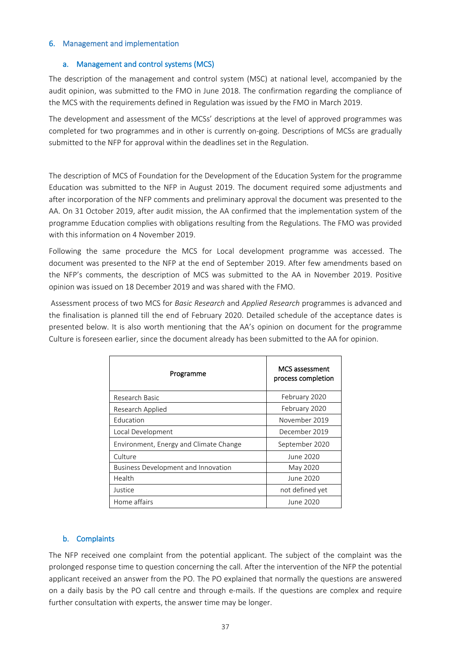#### **6. Management and implementation**

#### **a. Management and control systems (MCS)**

The description of the management and control system (MSC) at national level, accompanied by the audit opinion, was submitted to the FMO in June 2018. The confirmation regarding the compliance of the MCS with the requirements defined in Regulation was issued by the FMO in March 2019.

The development and assessment of the MCSs' descriptions at the level of approved programmes was completed for two programmes and in other is currently on-going. Descriptions of MCSs are gradually submitted to the NFP for approval within the deadlines set in the Regulation.

The description of MCS of Foundation for the Development of the Education System for the programme Education was submitted to the NFP in August 2019. The document required some adjustments and after incorporation of the NFP comments and preliminary approval the document was presented to the AA. On 31 October 2019, after audit mission, the AA confirmed that the implementation system of the programme Education complies with obligations resulting from the Regulations. The FMO was provided with this information on 4 November 2019.

Following the same procedure the MCS for Local development programme was accessed. The document was presented to the NFP at the end of September 2019. After few amendments based on the NFP's comments, the description of MCS was submitted to the AA in November 2019. Positive opinion was issued on 18 December 2019 and was shared with the FMO.

Assessment process of two MCS for *Basic Research* and *Applied Research* programmes is advanced and the finalisation is planned till the end of February 2020. Detailed schedule of the acceptance dates is presented below. It is also worth mentioning that the AA's opinion on document for the programme Culture is foreseen earlier, since the document already has been submitted to the AA for opinion.

| Programme                              | <b>MCS</b> assessment<br>process completion |
|----------------------------------------|---------------------------------------------|
| Research Basic                         | February 2020                               |
| Research Applied                       | February 2020                               |
| <b>Education</b>                       | November 2019                               |
| Local Development                      | December 2019                               |
| Environment, Energy and Climate Change | September 2020                              |
| Culture                                | June 2020                                   |
| Business Development and Innovation    | May 2020                                    |
| Health                                 | June 2020                                   |
| Justice                                | not defined yet                             |
| Home affairs                           | June 2020                                   |

## **b. Complaints**

The NFP received one complaint from the potential applicant. The subject of the complaint was the prolonged response time to question concerning the call. After the intervention of the NFP the potential applicant received an answer from the PO. The PO explained that normally the questions are answered on a daily basis by the PO call centre and through e-mails. If the questions are complex and require further consultation with experts, the answer time may be longer.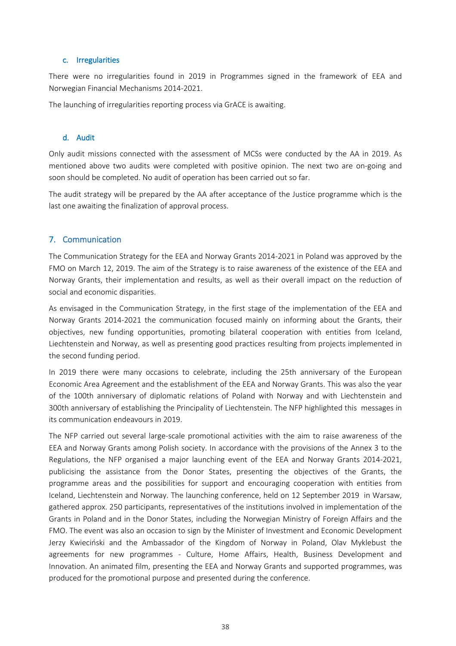#### **c. Irregularities**

There were no irregularities found in 2019 in Programmes signed in the framework of EEA and Norwegian Financial Mechanisms 2014-2021.

The launching of irregularities reporting process via GrACE is awaiting.

#### **d. Audit**

Only audit missions connected with the assessment of MCSs were conducted by the AA in 2019. As mentioned above two audits were completed with positive opinion. The next two are on-going and soon should be completed. No audit of operation has been carried out so far.

The audit strategy will be prepared by the AA after acceptance of the Justice programme which is the last one awaiting the finalization of approval process.

## **7. Communication**

The Communication Strategy for the EEA and Norway Grants 2014-2021 in Poland was approved by the FMO on March 12, 2019. The aim of the Strategy is to raise awareness of the existence of the EEA and Norway Grants, their implementation and results, as well as their overall impact on the reduction of social and economic disparities.

As envisaged in the Communication Strategy, in the first stage of the implementation of the EEA and Norway Grants 2014-2021 the communication focused mainly on informing about the Grants, their objectives, new funding opportunities, promoting bilateral cooperation with entities from Iceland, Liechtenstein and Norway, as well as presenting good practices resulting from projects implemented in the second funding period.

In 2019 there were many occasions to celebrate, including the 25th anniversary of the European Economic Area Agreement and the establishment of the EEA and Norway Grants. This was also the year of the 100th anniversary of diplomatic relations of Poland with Norway and with Liechtenstein and 300th anniversary of establishing the Principality of Liechtenstein. The NFP highlighted this messages in its communication endeavours in 2019.

The NFP carried out several large-scale promotional activities with the aim to raise awareness of the EEA and Norway Grants among Polish society. In accordance with the provisions of the Annex 3 to the Regulations, the NFP organised a major launching event of the EEA and Norway Grants 2014-2021, publicising the assistance from the Donor States, presenting the objectives of the Grants, the programme areas and the possibilities for support and encouraging cooperation with entities from Iceland, Liechtenstein and Norway. The launching conference, held on 12 September 2019 in Warsaw, gathered approx. 250 participants, representatives of the institutions involved in implementation of the Grants in Poland and in the Donor States, including the Norwegian Ministry of Foreign Affairs and the FMO. The event was also an occasion to sign by the Minister of Investment and Economic Development Jerzy Kwieciński and the Ambassador of the Kingdom of Norway in Poland, Olav Myklebust the agreements for new programmes - Culture, Home Affairs, Health, Business Development and Innovation. An animated film, presenting the EEA and Norway Grants and supported programmes, was produced for the promotional purpose and presented during the conference.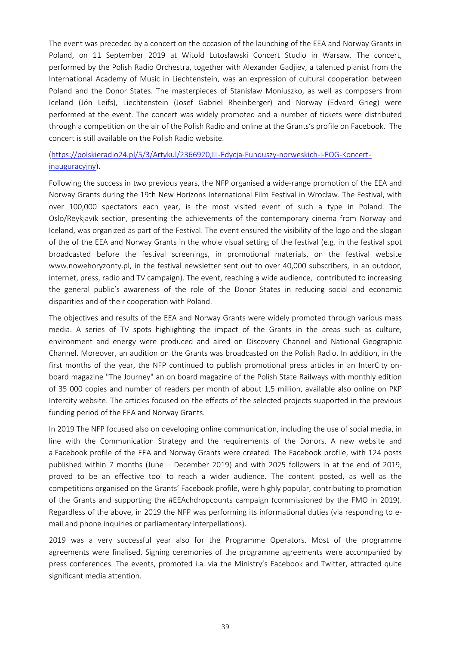The event was preceded by a concert on the occasion of the launching of the EEA and Norway Grants in Poland, on 11 September 2019 at Witold Lutosławski Concert Studio in Warsaw. The concert, performed by the Polish Radio Orchestra, together with Alexander Gadjiev, a talented pianist from the International Academy of Music in Liechtenstein, was an expression of cultural cooperation between Poland and the Donor States. The masterpieces of Stanisław Moniuszko, as well as composers from Iceland (Jón Leifs), Liechtenstein (Josef Gabriel Rheinberger) and Norway (Edvard Grieg) were performed at the event. The concert was widely promoted and a number of tickets were distributed through a competition on the air of the Polish Radio and online at the Grants's profile on Facebook. The concert is still available on the Polish Radio website.

# [\(https://polskieradio24.pl/5/3/Artykul/2366920,III-Edycja-Funduszy-norweskich-i-EOG-Koncert](https://polskieradio24.pl/5/3/Artykul/2366920,III-Edycja-Funduszy-norweskich-i-EOG-Koncert-inauguracyjny)[inauguracyjny](https://polskieradio24.pl/5/3/Artykul/2366920,III-Edycja-Funduszy-norweskich-i-EOG-Koncert-inauguracyjny)).

Following the success in two previous years, the NFP organised a wide-range promotion of the EEA and Norway Grants during the 19th New Horizons International Film Festival in Wrocław. The Festival, with over 100,000 spectators each year, is the most visited event of such a type in Poland. The Oslo/Reykjavík section, presenting the achievements of the contemporary cinema from Norway and Iceland, was organized as part of the Festival. The event ensured the visibility of the logo and the slogan of the of the EEA and Norway Grants in the whole visual setting of the festival (e.g. in the festival spot broadcasted before the festival screenings, in promotional materials, on the festival website www.nowehoryzonty.pl, in the festival newsletter sent out to over 40,000 subscribers, in an outdoor, internet, press, radio and TV campaign). The event, reaching a wide audience, contributed to increasing the general public's awareness of the role of the Donor States in reducing social and economic disparities and of their cooperation with Poland.

The objectives and results of the EEA and Norway Grants were widely promoted through various mass media. A series of TV spots highlighting the impact of the Grants in the areas such as culture, environment and energy were produced and aired on Discovery Channel and National Geographic Channel. Moreover, an audition on the Grants was broadcasted on the Polish Radio. In addition, in the first months of the year, the NFP continued to publish promotional press articles in an InterCity onboard magazine "The Journey" an on board magazine of the Polish State Railways with monthly edition of 35 000 copies and number of readers per month of about 1,5 million, available also online on PKP Intercity website. The articles focused on the effects of the selected projects supported in the previous funding period of the EEA and Norway Grants.

In 2019 The NFP focused also on developing online communication, including the use of social media, in line with the Communication Strategy and the requirements of the Donors. A new website and a Facebook profile of the EEA and Norway Grants were created. The Facebook profile, with 124 posts published within 7 months (June – December 2019) and with 2025 followers in at the end of 2019, proved to be an effective tool to reach a wider audience. The content posted, as well as the competitions organised on the Grants' Facebook profile, were highly popular, contributing to promotion of the Grants and supporting the #EEAchdropcounts campaign (commissioned by the FMO in 2019). Regardless of the above, in 2019 the NFP was performing its informational duties (via responding to email and phone inquiries or parliamentary interpellations).

2019 was a very successful year also for the Programme Operators. Most of the programme agreements were finalised. Signing ceremonies of the programme agreements were accompanied by press conferences. The events, promoted i.a. via the Ministry's Facebook and Twitter, attracted quite significant media attention.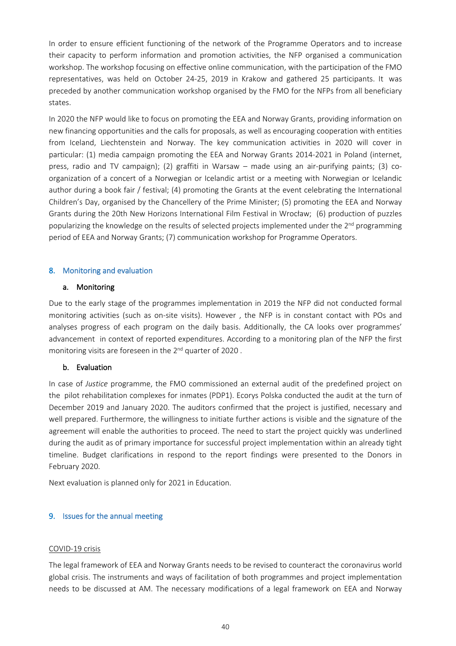In order to ensure efficient functioning of the network of the Programme Operators and to increase their capacity to perform information and promotion activities, the NFP organised a communication workshop. The workshop focusing on effective online communication, with the participation of the FMO representatives, was held on October 24-25, 2019 in Krakow and gathered 25 participants. It was preceded by another communication workshop organised by the FMO for the NFPs from all beneficiary states.

In 2020 the NFP would like to focus on promoting the EEA and Norway Grants, providing information on new financing opportunities and the calls for proposals, as well as encouraging cooperation with entities from Iceland, Liechtenstein and Norway. The key communication activities in 2020 will cover in particular: (1) media campaign promoting the EEA and Norway Grants 2014-2021 in Poland (internet, press, radio and TV campaign); (2) graffiti in Warsaw – made using an air-purifying paints; (3) coorganization of a concert of a Norwegian or Icelandic artist or a meeting with Norwegian or Icelandic author during a book fair / festival; (4) promoting the Grants at the event celebrating the International Children's Day, organised by the Chancellery of the Prime Minister; (5) promoting the EEA and Norway Grants during the 20th New Horizons International Film Festival in Wrocław; (6) production of puzzles popularizing the knowledge on the results of selected projects implemented under the 2<sup>nd</sup> programming period of EEA and Norway Grants; (7) communication workshop for Programme Operators.

#### **8. Monitoring and evaluation**

#### **a. Monitoring**

Due to the early stage of the programmes implementation in 2019 the NFP did not conducted formal monitoring activities (such as on-site visits). However , the NFP is in constant contact with POs and analyses progress of each program on the daily basis. Additionally, the CA looks over programmes' advancement in context of reported expenditures. According to a monitoring plan of the NFP the first monitoring visits are foreseen in the 2<sup>nd</sup> quarter of 2020.

#### **b. Evaluation**

In case of *Justice* programme, the FMO commissioned an external audit of the predefined project on the pilot rehabilitation complexes for inmates (PDP1). Ecorys Polska conducted the audit at the turn of December 2019 and January 2020. The auditors confirmed that the project is justified, necessary and well prepared. Furthermore, the willingness to initiate further actions is visible and the signature of the agreement will enable the authorities to proceed. The need to start the project quickly was underlined during the audit as of primary importance for successful project implementation within an already tight timeline. Budget clarifications in respond to the report findings were presented to the Donors in February 2020.

Next evaluation is planned only for 2021 in Education.

#### **9. Issues for the annual meeting**

#### COVID-19 crisis

The legal framework of EEA and Norway Grants needs to be revised to counteract the coronavirus world global crisis. The instruments and ways of facilitation of both programmes and project implementation needs to be discussed at AM. The necessary modifications of a legal framework on EEA and Norway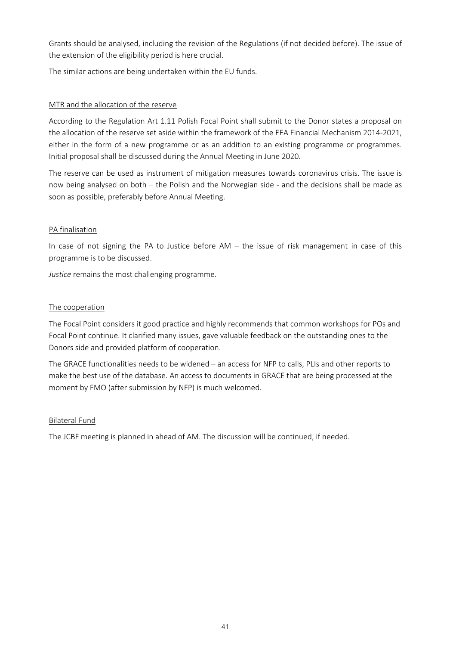Grants should be analysed, including the revision of the Regulations (if not decided before). The issue of the extension of the eligibility period is here crucial.

The similar actions are being undertaken within the EU funds.

## MTR and the allocation of the reserve

According to the Regulation Art 1.11 Polish Focal Point shall submit to the Donor states a proposal on the allocation of the reserve set aside within the framework of the EEA Financial Mechanism 2014-2021, either in the form of a new programme or as an addition to an existing programme or programmes. Initial proposal shall be discussed during the Annual Meeting in June 2020.

The reserve can be used as instrument of mitigation measures towards coronavirus crisis. The issue is now being analysed on both – the Polish and the Norwegian side - and the decisions shall be made as soon as possible, preferably before Annual Meeting.

## PA finalisation

In case of not signing the PA to Justice before AM – the issue of risk management in case of this programme is to be discussed.

*Justice* remains the most challenging programme.

# The cooperation

The Focal Point considers it good practice and highly recommends that common workshops for POs and Focal Point continue. It clarified many issues, gave valuable feedback on the outstanding ones to the Donors side and provided platform of cooperation.

The GRACE functionalities needs to be widened – an access for NFP to calls, PLIs and other reports to make the best use of the database. An access to documents in GRACE that are being processed at the moment by FMO (after submission by NFP) is much welcomed.

## Bilateral Fund

The JCBF meeting is planned in ahead of AM. The discussion will be continued, if needed.